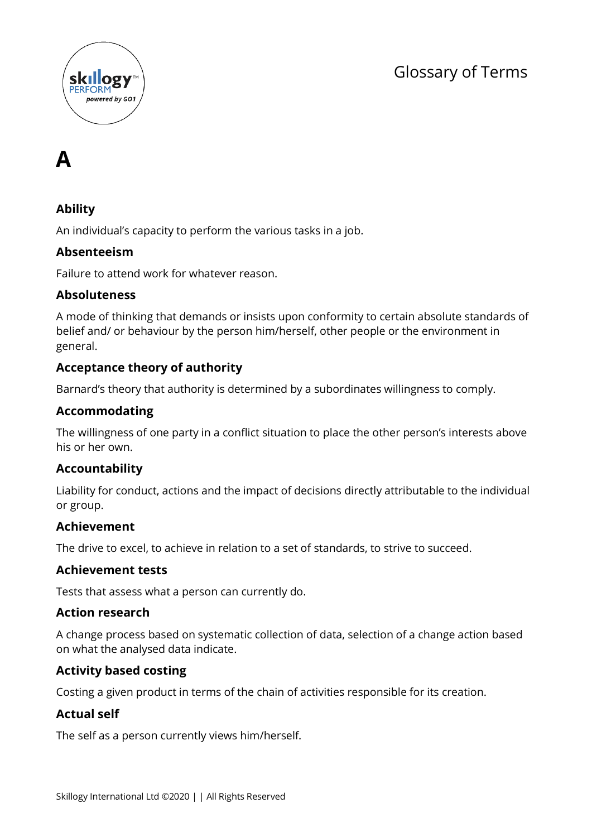





# **Ability**

An individual's capacity to perform the various tasks in a job.

### **Absenteeism**

Failure to attend work for whatever reason.

### **Absoluteness**

A mode of thinking that demands or insists upon conformity to certain absolute standards of belief and/ or behaviour by the person him/herself, other people or the environment in general.

### **Acceptance theory of authority**

Barnard's theory that authority is determined by a subordinates willingness to comply.

### **Accommodating**

The willingness of one party in a conflict situation to place the other person's interests above his or her own.

### **Accountability**

Liability for conduct, actions and the impact of decisions directly attributable to the individual or group.

### **Achievement**

The drive to excel, to achieve in relation to a set of standards, to strive to succeed.

### **Achievement tests**

Tests that assess what a person can currently do.

### **Action research**

A change process based on systematic collection of data, selection of a change action based on what the analysed data indicate.

### **Activity based costing**

Costing a given product in terms of the chain of activities responsible for its creation.

### **Actual self**

The self as a person currently views him/herself.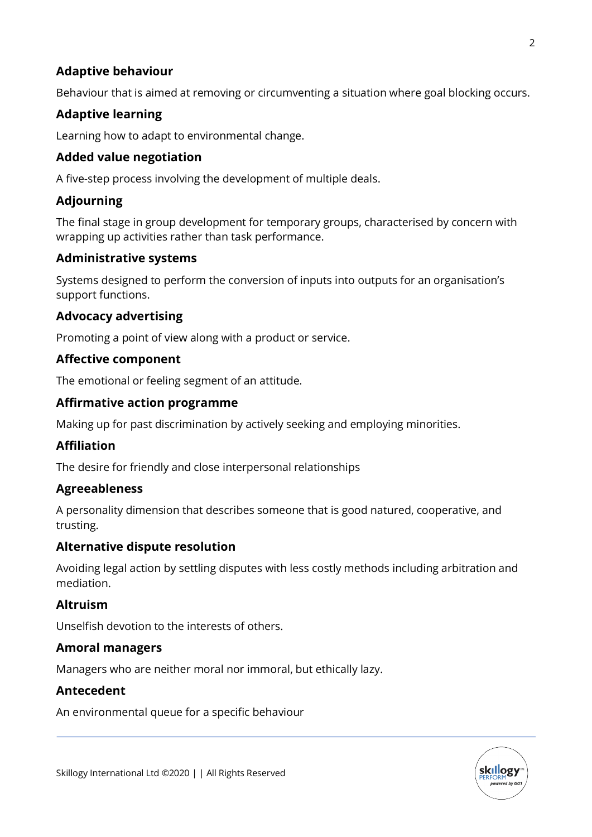### **Adaptive behaviour**

Behaviour that is aimed at removing or circumventing a situation where goal blocking occurs.

# **Adaptive learning**

Learning how to adapt to environmental change.

### **Added value negotiation**

A five-step process involving the development of multiple deals.

### **Adjourning**

The final stage in group development for temporary groups, characterised by concern with wrapping up activities rather than task performance.

### **Administrative systems**

Systems designed to perform the conversion of inputs into outputs for an organisation's support functions.

### **Advocacy advertising**

Promoting a point of view along with a product or service.

### **Affective component**

The emotional or feeling segment of an attitude.

### **Affirmative action programme**

Making up for past discrimination by actively seeking and employing minorities.

### **Affiliation**

The desire for friendly and close interpersonal relationships

### **Agreeableness**

A personality dimension that describes someone that is good natured, cooperative, and trusting.

### **Alternative dispute resolution**

Avoiding legal action by settling disputes with less costly methods including arbitration and mediation.

### **Altruism**

Unselfish devotion to the interests of others.

### **Amoral managers**

Managers who are neither moral nor immoral, but ethically lazy.

### **Antecedent**

An environmental queue for a specific behaviour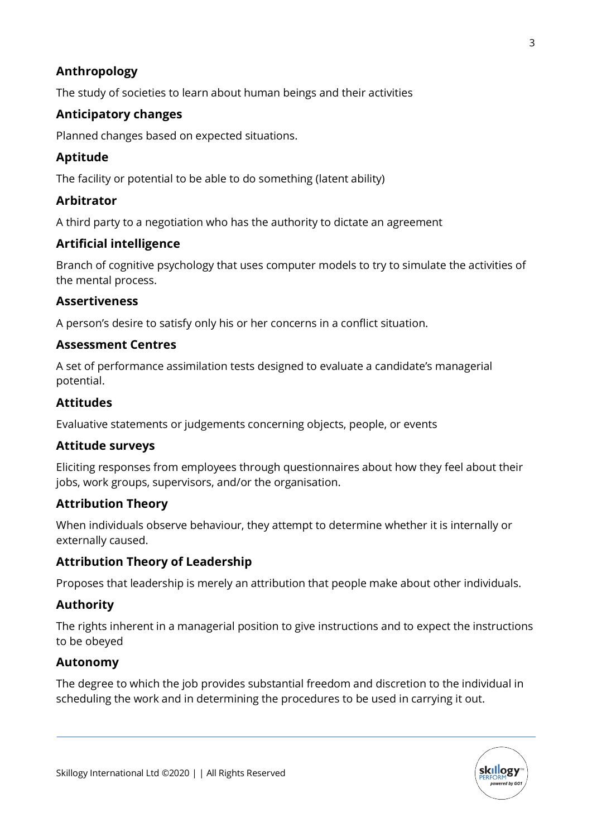# **Anthropology**

The study of societies to learn about human beings and their activities

# **Anticipatory changes**

Planned changes based on expected situations.

# **Aptitude**

The facility or potential to be able to do something (latent ability)

# **Arbitrator**

A third party to a negotiation who has the authority to dictate an agreement

### **Artificial intelligence**

Branch of cognitive psychology that uses computer models to try to simulate the activities of the mental process.

### **Assertiveness**

A person's desire to satisfy only his or her concerns in a conflict situation.

### **Assessment Centres**

A set of performance assimilation tests designed to evaluate a candidate's managerial potential.

### **Attitudes**

Evaluative statements or judgements concerning objects, people, or events

### **Attitude surveys**

Eliciting responses from employees through questionnaires about how they feel about their jobs, work groups, supervisors, and/or the organisation.

### **Attribution Theory**

When individuals observe behaviour, they attempt to determine whether it is internally or externally caused.

### **Attribution Theory of Leadership**

Proposes that leadership is merely an attribution that people make about other individuals.

# **Authority**

The rights inherent in a managerial position to give instructions and to expect the instructions to be obeyed

### **Autonomy**

The degree to which the job provides substantial freedom and discretion to the individual in scheduling the work and in determining the procedures to be used in carrying it out.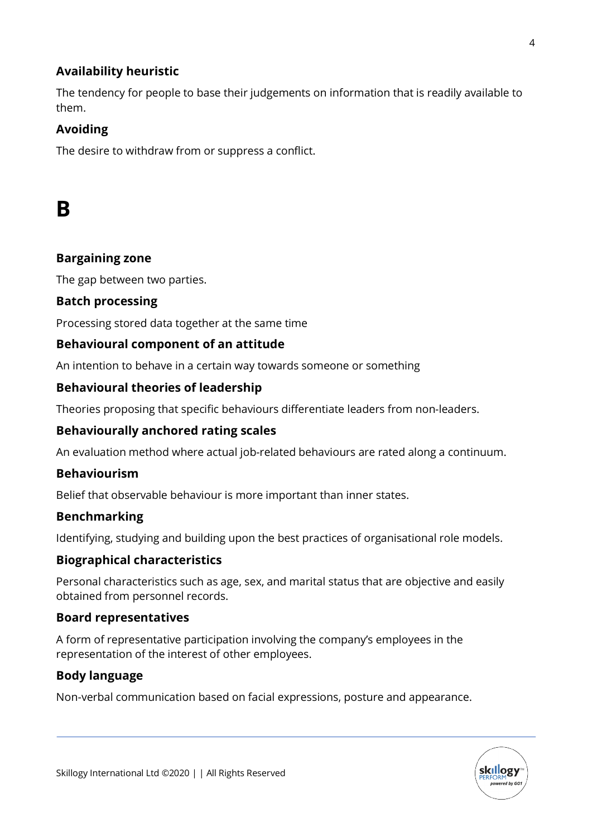# **Availability heuristic**

The tendency for people to base their judgements on information that is readily available to them.

# **Avoiding**

The desire to withdraw from or suppress a conflict.

# **B**

### **Bargaining zone**

The gap between two parties.

### **Batch processing**

Processing stored data together at the same time

### **Behavioural component of an attitude**

An intention to behave in a certain way towards someone or something

### **Behavioural theories of leadership**

Theories proposing that specific behaviours differentiate leaders from non-leaders.

### **Behaviourally anchored rating scales**

An evaluation method where actual job-related behaviours are rated along a continuum.

### **Behaviourism**

Belief that observable behaviour is more important than inner states.

### **Benchmarking**

Identifying, studying and building upon the best practices of organisational role models.

### **Biographical characteristics**

Personal characteristics such as age, sex, and marital status that are objective and easily obtained from personnel records.

### **Board representatives**

A form of representative participation involving the company's employees in the representation of the interest of other employees.

### **Body language**

Non-verbal communication based on facial expressions, posture and appearance.

**skillogy**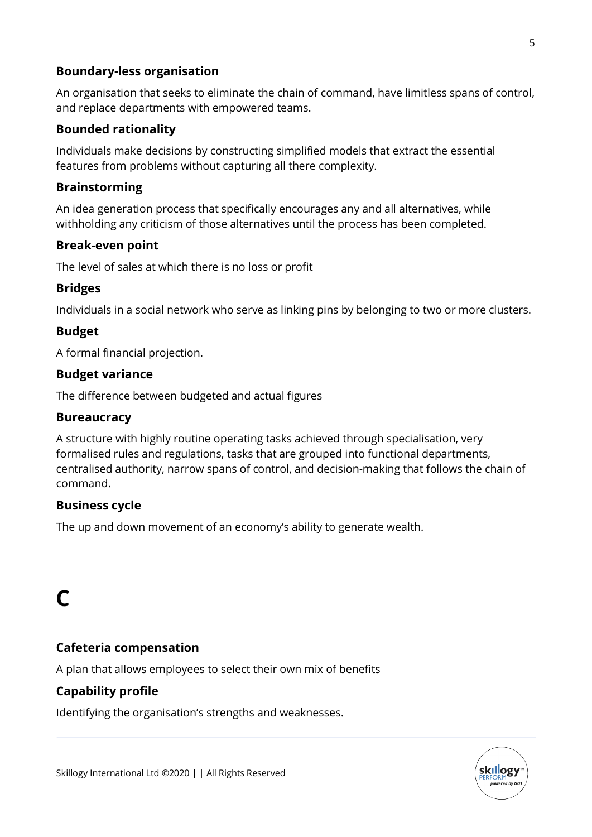### **Boundary-less organisation**

An organisation that seeks to eliminate the chain of command, have limitless spans of control, and replace departments with empowered teams.

### **Bounded rationality**

Individuals make decisions by constructing simplified models that extract the essential features from problems without capturing all there complexity.

### **Brainstorming**

An idea generation process that specifically encourages any and all alternatives, while withholding any criticism of those alternatives until the process has been completed.

### **Break-even point**

The level of sales at which there is no loss or profit

# **Bridges**

Individuals in a social network who serve as linking pins by belonging to two or more clusters.

### **Budget**

A formal financial projection.

### **Budget variance**

The difference between budgeted and actual figures

### **Bureaucracy**

A structure with highly routine operating tasks achieved through specialisation, very formalised rules and regulations, tasks that are grouped into functional departments, centralised authority, narrow spans of control, and decision-making that follows the chain of command.

# **Business cycle**

The up and down movement of an economy's ability to generate wealth.

# **C**

# **Cafeteria compensation**

A plan that allows employees to select their own mix of benefits

# **Capability profile**

Identifying the organisation's strengths and weaknesses.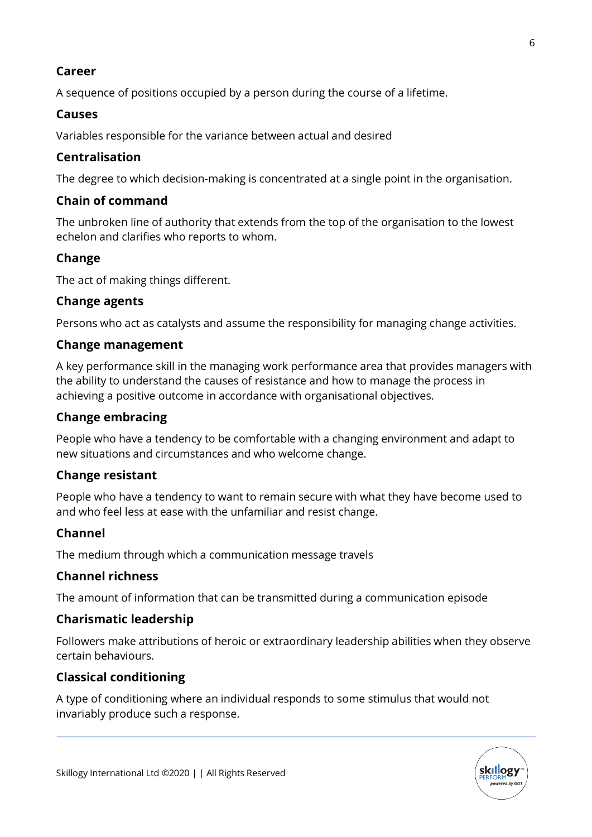### **Career**

A sequence of positions occupied by a person during the course of a lifetime.

# **Causes**

Variables responsible for the variance between actual and desired

# **Centralisation**

The degree to which decision-making is concentrated at a single point in the organisation.

# **Chain of command**

The unbroken line of authority that extends from the top of the organisation to the lowest echelon and clarifies who reports to whom.

# **Change**

The act of making things different.

# **Change agents**

Persons who act as catalysts and assume the responsibility for managing change activities.

# **Change management**

A key performance skill in the managing work performance area that provides managers with the ability to understand the causes of resistance and how to manage the process in achieving a positive outcome in accordance with organisational objectives.

# **Change embracing**

People who have a tendency to be comfortable with a changing environment and adapt to new situations and circumstances and who welcome change.

# **Change resistant**

People who have a tendency to want to remain secure with what they have become used to and who feel less at ease with the unfamiliar and resist change.

# **Channel**

The medium through which a communication message travels

# **Channel richness**

The amount of information that can be transmitted during a communication episode

# **Charismatic leadership**

Followers make attributions of heroic or extraordinary leadership abilities when they observe certain behaviours.

# **Classical conditioning**

A type of conditioning where an individual responds to some stimulus that would not invariably produce such a response.

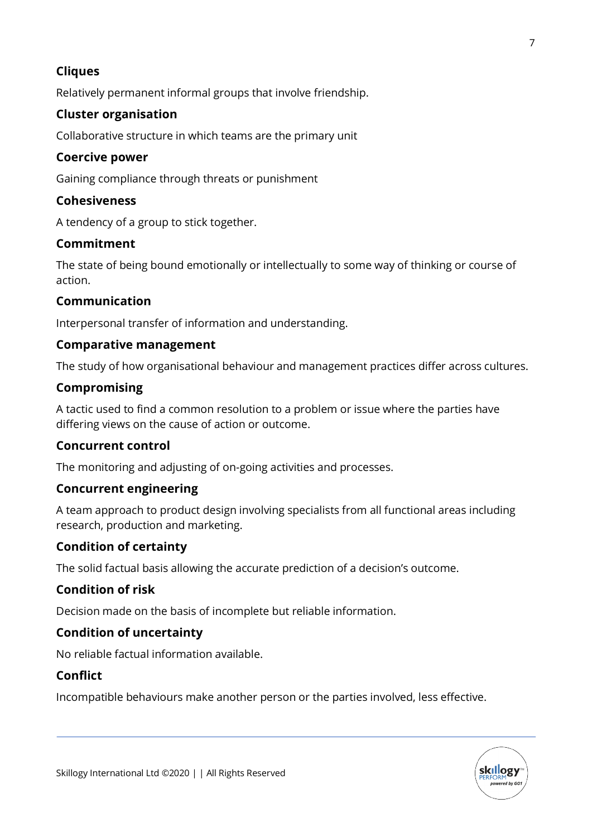# **Cliques**

Relatively permanent informal groups that involve friendship.

### **Cluster organisation**

Collaborative structure in which teams are the primary unit

### **Coercive power**

Gaining compliance through threats or punishment

### **Cohesiveness**

A tendency of a group to stick together.

### **Commitment**

The state of being bound emotionally or intellectually to some way of thinking or course of action.

### **Communication**

Interpersonal transfer of information and understanding.

### **Comparative management**

The study of how organisational behaviour and management practices differ across cultures.

### **Compromising**

A tactic used to find a common resolution to a problem or issue where the parties have differing views on the cause of action or outcome.

### **Concurrent control**

The monitoring and adjusting of on-going activities and processes.

### **Concurrent engineering**

A team approach to product design involving specialists from all functional areas including research, production and marketing.

### **Condition of certainty**

The solid factual basis allowing the accurate prediction of a decision's outcome.

### **Condition of risk**

Decision made on the basis of incomplete but reliable information.

### **Condition of uncertainty**

No reliable factual information available.

### **Conflict**

Incompatible behaviours make another person or the parties involved, less effective.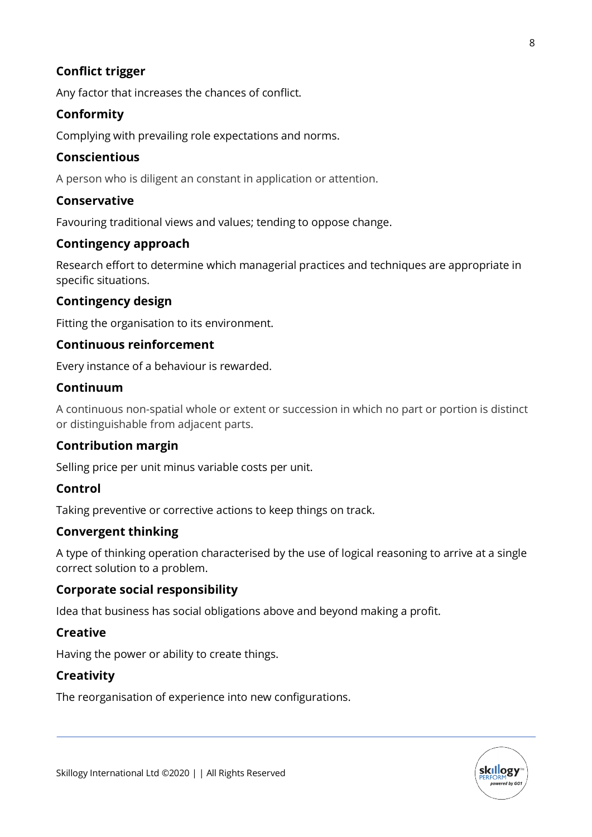# **Conflict trigger**

Any factor that increases the chances of conflict.

# **Conformity**

Complying with prevailing role expectations and norms.

### **Conscientious**

A person who is diligent an constant in application or attention.

# **Conservative**

Favouring traditional views and values; tending to oppose change.

### **Contingency approach**

Research effort to determine which managerial practices and techniques are appropriate in specific situations.

### **Contingency design**

Fitting the organisation to its environment.

### **Continuous reinforcement**

Every instance of a behaviour is rewarded.

### **Continuum**

A continuous non-spatial whole or extent or succession in which no part or portion is distinct or distinguishable from adjacent parts.

# **Contribution margin**

Selling price per unit minus variable costs per unit.

# **Control**

Taking preventive or corrective actions to keep things on track.

# **Convergent thinking**

A type of thinking operation characterised by the use of logical reasoning to arrive at a single correct solution to a problem.

### **Corporate social responsibility**

Idea that business has social obligations above and beyond making a profit.

# **Creative**

Having the power or ability to create things.

# **Creativity**

The reorganisation of experience into new configurations.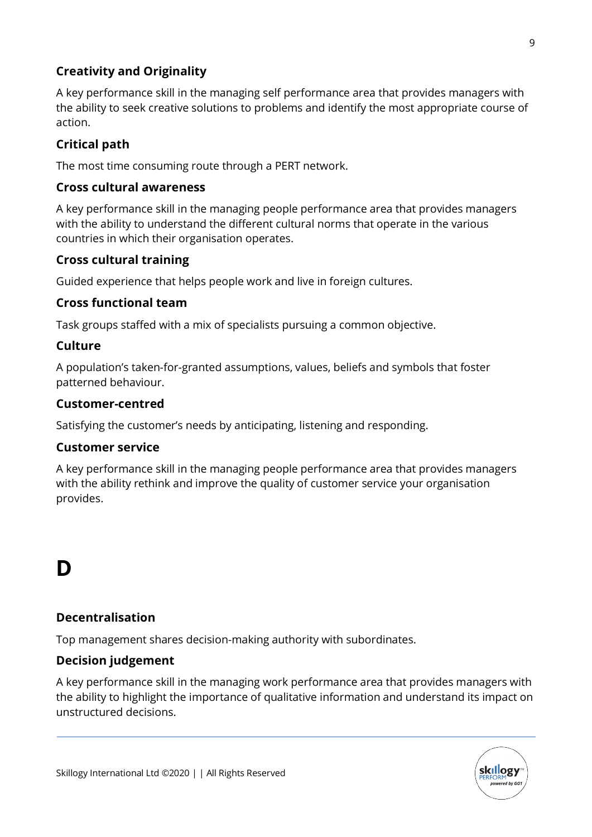# **Creativity and Originality**

A key performance skill in the managing self performance area that provides managers with the ability to seek creative solutions to problems and identify the most appropriate course of action.

# **Critical path**

The most time consuming route through a PERT network.

### **Cross cultural awareness**

A key performance skill in the managing people performance area that provides managers with the ability to understand the different cultural norms that operate in the various countries in which their organisation operates.

### **Cross cultural training**

Guided experience that helps people work and live in foreign cultures.

### **Cross functional team**

Task groups staffed with a mix of specialists pursuing a common objective.

### **Culture**

A population's taken-for-granted assumptions, values, beliefs and symbols that foster patterned behaviour.

### **Customer-centred**

Satisfying the customer's needs by anticipating, listening and responding.

### **Customer service**

A key performance skill in the managing people performance area that provides managers with the ability rethink and improve the quality of customer service your organisation provides.

# **D**

# **Decentralisation**

Top management shares decision-making authority with subordinates.

# **Decision judgement**

A key performance skill in the managing work performance area that provides managers with the ability to highlight the importance of qualitative information and understand its impact on unstructured decisions.

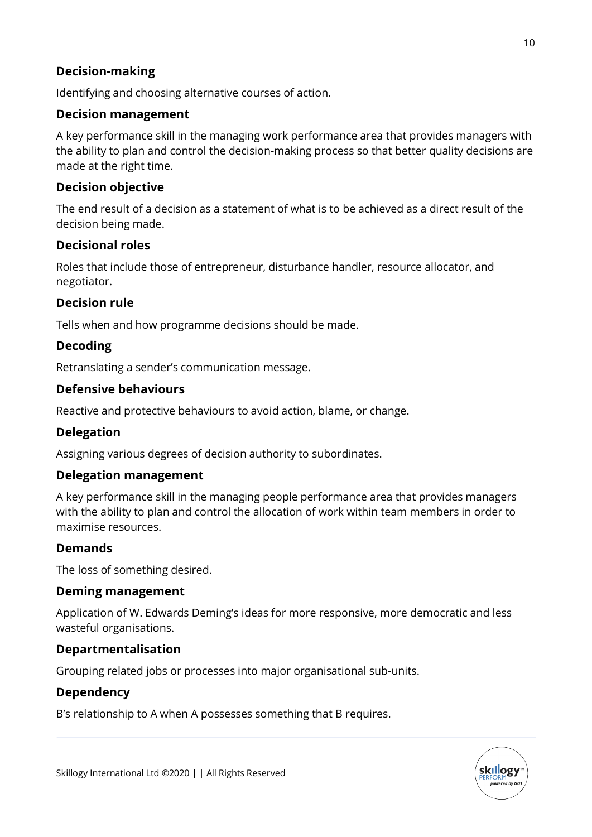# **Decision-making**

Identifying and choosing alternative courses of action.

### **Decision management**

A key performance skill in the managing work performance area that provides managers with the ability to plan and control the decision-making process so that better quality decisions are made at the right time.

### **Decision objective**

The end result of a decision as a statement of what is to be achieved as a direct result of the decision being made.

### **Decisional roles**

Roles that include those of entrepreneur, disturbance handler, resource allocator, and negotiator.

### **Decision rule**

Tells when and how programme decisions should be made.

### **Decoding**

Retranslating a sender's communication message.

### **Defensive behaviours**

Reactive and protective behaviours to avoid action, blame, or change.

### **Delegation**

Assigning various degrees of decision authority to subordinates.

### **Delegation management**

A key performance skill in the managing people performance area that provides managers with the ability to plan and control the allocation of work within team members in order to maximise resources.

### **Demands**

The loss of something desired.

### **Deming management**

Application of W. Edwards Deming's ideas for more responsive, more democratic and less wasteful organisations.

### **Departmentalisation**

Grouping related jobs or processes into major organisational sub-units.

### **Dependency**

B's relationship to A when A possesses something that B requires.

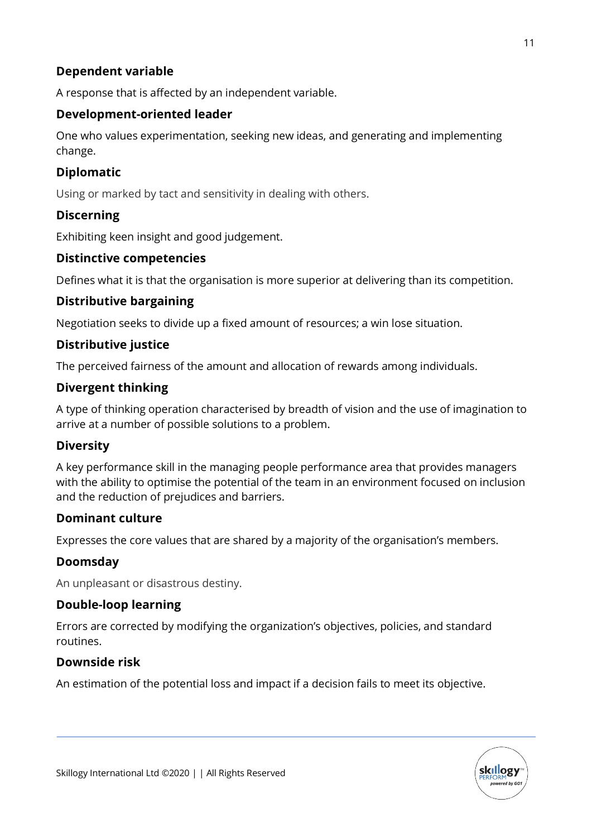# **Dependent variable**

A response that is affected by an independent variable.

# **Development-oriented leader**

One who values experimentation, seeking new ideas, and generating and implementing change.

### **Diplomatic**

Using or marked by tact and sensitivity in dealing with others.

# **Discerning**

Exhibiting keen insight and good judgement.

### **Distinctive competencies**

Defines what it is that the organisation is more superior at delivering than its competition.

### **Distributive bargaining**

Negotiation seeks to divide up a fixed amount of resources; a win lose situation.

### **Distributive justice**

The perceived fairness of the amount and allocation of rewards among individuals.

### **Divergent thinking**

A type of thinking operation characterised by breadth of vision and the use of imagination to arrive at a number of possible solutions to a problem.

### **Diversity**

A key performance skill in the managing people performance area that provides managers with the ability to optimise the potential of the team in an environment focused on inclusion and the reduction of prejudices and barriers.

### **Dominant culture**

Expresses the core values that are shared by a majority of the organisation's members.

### **Doomsday**

An unpleasant or disastrous destiny.

### **Double-loop learning**

Errors are corrected by modifying the organization's objectives, policies, and standard routines.

### **Downside risk**

An estimation of the potential loss and impact if a decision fails to meet its objective.

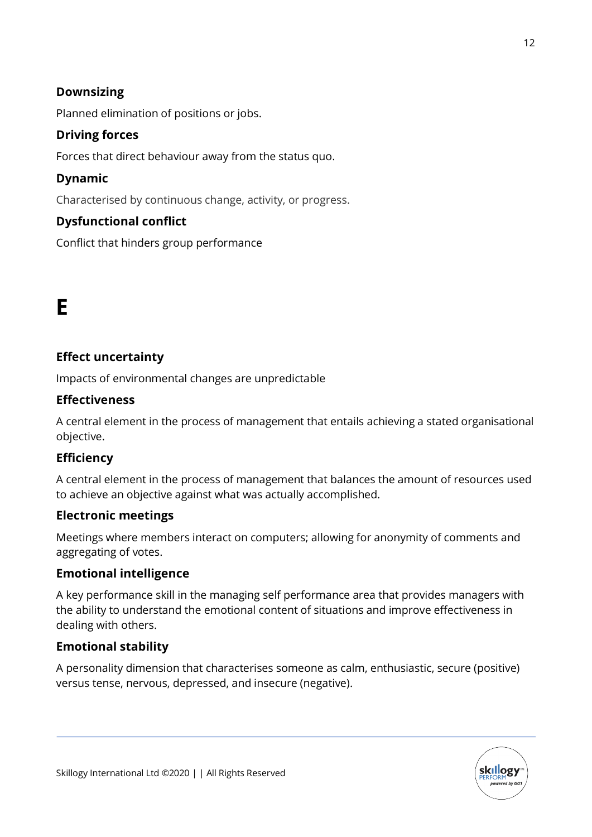# **Downsizing**

Planned elimination of positions or jobs.

### **Driving forces**

Forces that direct behaviour away from the status quo.

### **Dynamic**

Characterised by continuous change, activity, or progress.

# **Dysfunctional conflict**

Conflict that hinders group performance

# **E**

### **Effect uncertainty**

Impacts of environmental changes are unpredictable

### **Effectiveness**

A central element in the process of management that entails achieving a stated organisational objective.

### **Efficiency**

A central element in the process of management that balances the amount of resources used to achieve an objective against what was actually accomplished.

### **Electronic meetings**

Meetings where members interact on computers; allowing for anonymity of comments and aggregating of votes.

### **Emotional intelligence**

A key performance skill in the managing self performance area that provides managers with the ability to understand the emotional content of situations and improve effectiveness in dealing with others.

### **Emotional stability**

A personality dimension that characterises someone as calm, enthusiastic, secure (positive) versus tense, nervous, depressed, and insecure (negative).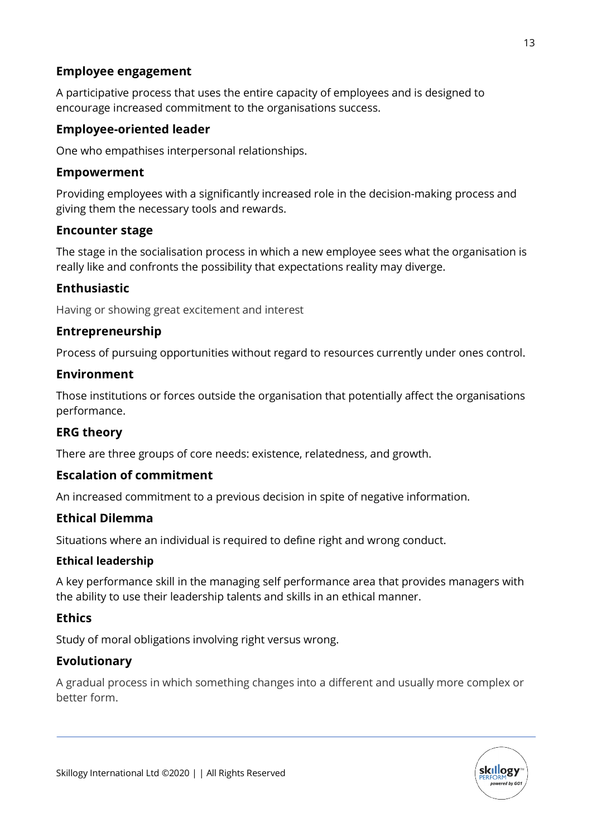### **Employee engagement**

A participative process that uses the entire capacity of employees and is designed to encourage increased commitment to the organisations success.

# **Employee-oriented leader**

One who empathises interpersonal relationships.

### **Empowerment**

Providing employees with a significantly increased role in the decision-making process and giving them the necessary tools and rewards.

### **Encounter stage**

The stage in the socialisation process in which a new employee sees what the organisation is really like and confronts the possibility that expectations reality may diverge.

# **Enthusiastic**

Having or showing great excitement and interest

### **Entrepreneurship**

Process of pursuing opportunities without regard to resources currently under ones control.

### **Environment**

Those institutions or forces outside the organisation that potentially affect the organisations performance.

# **ERG theory**

There are three groups of core needs: existence, relatedness, and growth.

# **Escalation of commitment**

An increased commitment to a previous decision in spite of negative information.

### **Ethical Dilemma**

Situations where an individual is required to define right and wrong conduct.

### **Ethical leadership**

A key performance skill in the managing self performance area that provides managers with the ability to use their leadership talents and skills in an ethical manner.

# **Ethics**

Study of moral obligations involving right versus wrong.

# **Evolutionary**

A gradual process in which something changes into a different and usually more complex or better form.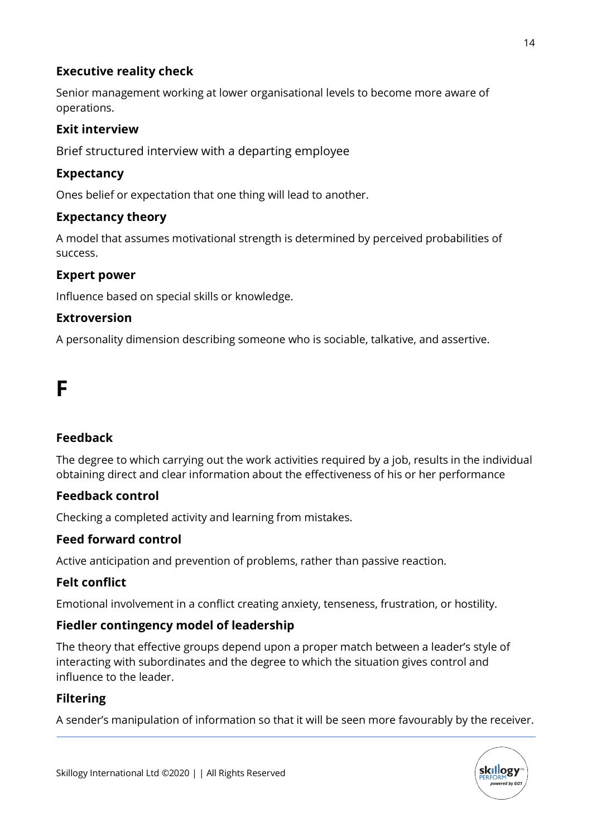### **Executive reality check**

Senior management working at lower organisational levels to become more aware of operations.

# **Exit interview**

Brief structured interview with a departing employee

### **Expectancy**

Ones belief or expectation that one thing will lead to another.

### **Expectancy theory**

A model that assumes motivational strength is determined by perceived probabilities of success.

### **Expert power**

Influence based on special skills or knowledge.

### **Extroversion**

A personality dimension describing someone who is sociable, talkative, and assertive.

# **F**

# **Feedback**

The degree to which carrying out the work activities required by a job, results in the individual obtaining direct and clear information about the effectiveness of his or her performance

# **Feedback control**

Checking a completed activity and learning from mistakes.

# **Feed forward control**

Active anticipation and prevention of problems, rather than passive reaction.

# **Felt conflict**

Emotional involvement in a conflict creating anxiety, tenseness, frustration, or hostility.

### **Fiedler contingency model of leadership**

The theory that effective groups depend upon a proper match between a leader's style of interacting with subordinates and the degree to which the situation gives control and influence to the leader.

### **Filtering**

A sender's manipulation of information so that it will be seen more favourably by the receiver.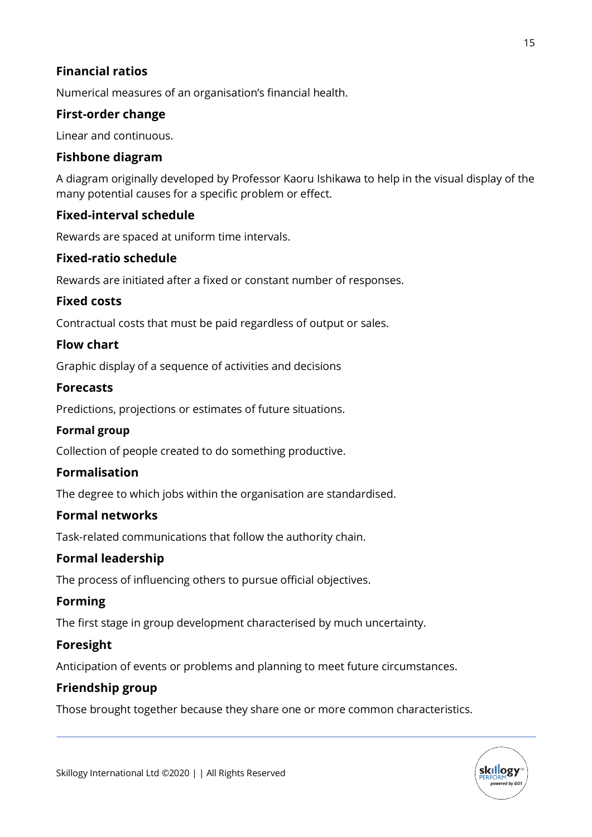### **Financial ratios**

Numerical measures of an organisation's financial health.

### **First-order change**

Linear and continuous.

### **Fishbone diagram**

A diagram originally developed by Professor Kaoru Ishikawa to help in the visual display of the many potential causes for a specific problem or effect.

### **Fixed-interval schedule**

Rewards are spaced at uniform time intervals.

### **Fixed-ratio schedule**

Rewards are initiated after a fixed or constant number of responses.

### **Fixed costs**

Contractual costs that must be paid regardless of output or sales.

### **Flow chart**

Graphic display of a sequence of activities and decisions

### **Forecasts**

Predictions, projections or estimates of future situations.

### **Formal group**

Collection of people created to do something productive.

### **Formalisation**

The degree to which jobs within the organisation are standardised.

### **Formal networks**

Task-related communications that follow the authority chain.

### **Formal leadership**

The process of influencing others to pursue official objectives.

### **Forming**

The first stage in group development characterised by much uncertainty.

### **Foresight**

Anticipation of events or problems and planning to meet future circumstances.

### **Friendship group**

Those brought together because they share one or more common characteristics.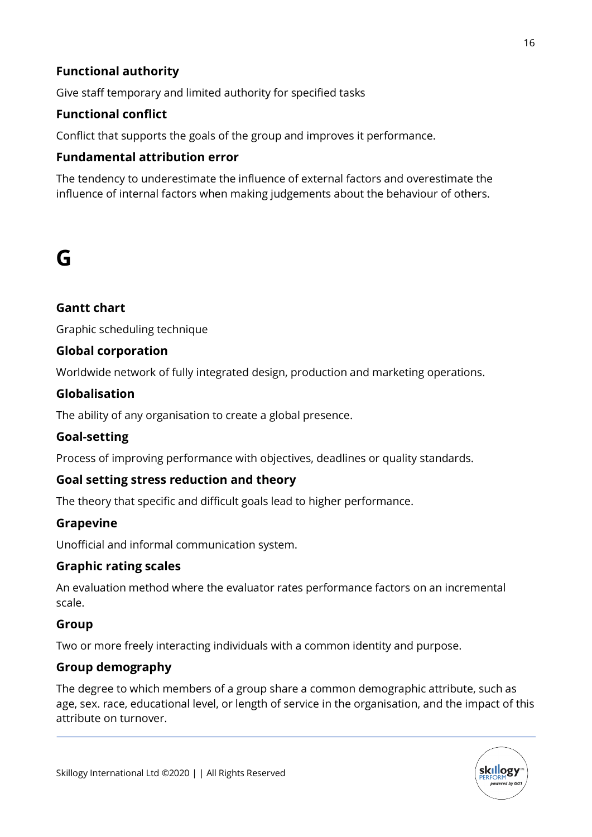# **Functional authority**

Give staff temporary and limited authority for specified tasks

# **Functional conflict**

Conflict that supports the goals of the group and improves it performance.

# **Fundamental attribution error**

The tendency to underestimate the influence of external factors and overestimate the influence of internal factors when making judgements about the behaviour of others.

# **G**

# **Gantt chart**

Graphic scheduling technique

# **Global corporation**

Worldwide network of fully integrated design, production and marketing operations.

### **Globalisation**

The ability of any organisation to create a global presence.

# **Goal-setting**

Process of improving performance with objectives, deadlines or quality standards.

# **Goal setting stress reduction and theory**

The theory that specific and difficult goals lead to higher performance.

### **Grapevine**

Unofficial and informal communication system.

### **Graphic rating scales**

An evaluation method where the evaluator rates performance factors on an incremental scale.

### **Group**

Two or more freely interacting individuals with a common identity and purpose.

# **Group demography**

The degree to which members of a group share a common demographic attribute, such as age, sex. race, educational level, or length of service in the organisation, and the impact of this attribute on turnover.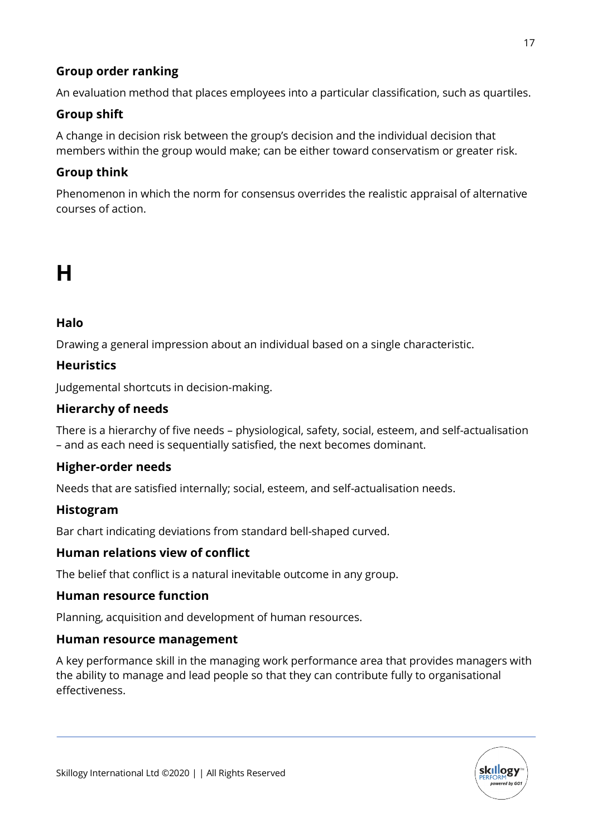# **Group order ranking**

An evaluation method that places employees into a particular classification, such as quartiles.

# **Group shift**

A change in decision risk between the group's decision and the individual decision that members within the group would make; can be either toward conservatism or greater risk.

# **Group think**

Phenomenon in which the norm for consensus overrides the realistic appraisal of alternative courses of action.

# **H**

# **Halo**

Drawing a general impression about an individual based on a single characteristic.

# **Heuristics**

Judgemental shortcuts in decision-making.

# **Hierarchy of needs**

There is a hierarchy of five needs – physiological, safety, social, esteem, and self-actualisation – and as each need is sequentially satisfied, the next becomes dominant.

# **Higher-order needs**

Needs that are satisfied internally; social, esteem, and self-actualisation needs.

# **Histogram**

Bar chart indicating deviations from standard bell-shaped curved.

# **Human relations view of conflict**

The belief that conflict is a natural inevitable outcome in any group.

# **Human resource function**

Planning, acquisition and development of human resources.

### **Human resource management**

A key performance skill in the managing work performance area that provides managers with the ability to manage and lead people so that they can contribute fully to organisational effectiveness.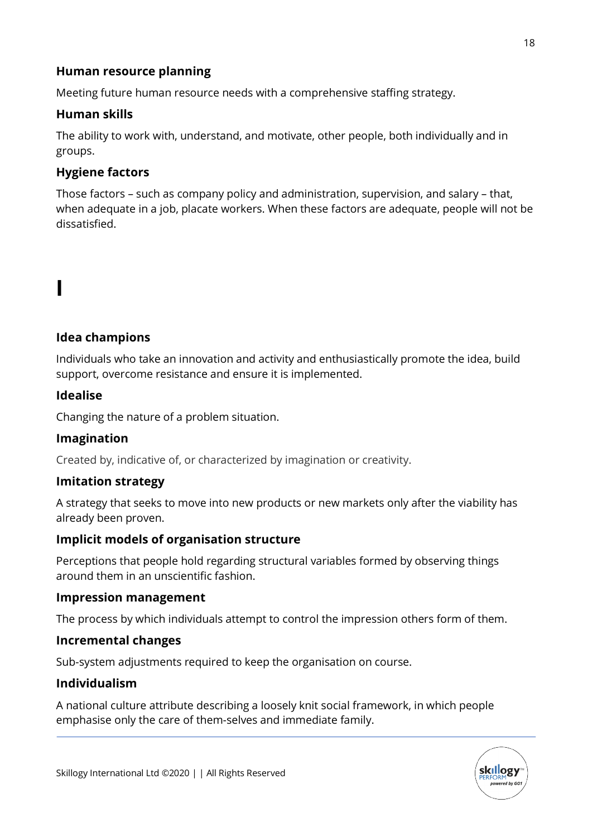### **Human resource planning**

Meeting future human resource needs with a comprehensive staffing strategy.

### **Human skills**

The ability to work with, understand, and motivate, other people, both individually and in groups.

### **Hygiene factors**

Those factors – such as company policy and administration, supervision, and salary – that, when adequate in a job, placate workers. When these factors are adequate, people will not be dissatisfied.

# **I**

### **Idea champions**

Individuals who take an innovation and activity and enthusiastically promote the idea, build support, overcome resistance and ensure it is implemented.

### **Idealise**

Changing the nature of a problem situation.

### **Imagination**

Created by, indicative of, or characterized by imagination or creativity.

### **Imitation strategy**

A strategy that seeks to move into new products or new markets only after the viability has already been proven.

### **Implicit models of organisation structure**

Perceptions that people hold regarding structural variables formed by observing things around them in an unscientific fashion.

### **Impression management**

The process by which individuals attempt to control the impression others form of them.

### **Incremental changes**

Sub-system adjustments required to keep the organisation on course.

### **Individualism**

A national culture attribute describing a loosely knit social framework, in which people emphasise only the care of them-selves and immediate family.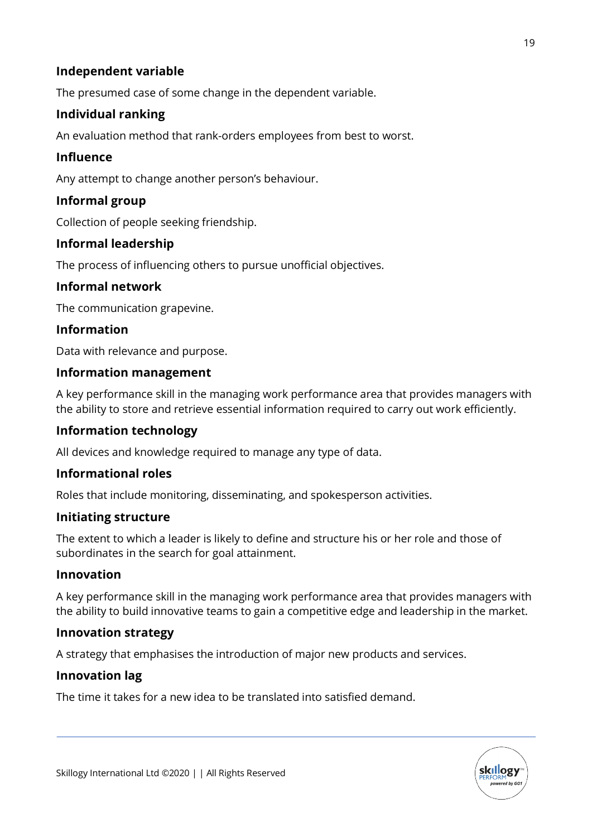# **Independent variable**

The presumed case of some change in the dependent variable.

# **Individual ranking**

An evaluation method that rank-orders employees from best to worst.

### **Influence**

Any attempt to change another person's behaviour.

# **Informal group**

Collection of people seeking friendship.

### **Informal leadership**

The process of influencing others to pursue unofficial objectives.

### **Informal network**

The communication grapevine.

### **Information**

Data with relevance and purpose.

### **Information management**

A key performance skill in the managing work performance area that provides managers with the ability to store and retrieve essential information required to carry out work efficiently.

### **Information technology**

All devices and knowledge required to manage any type of data.

### **Informational roles**

Roles that include monitoring, disseminating, and spokesperson activities.

### **Initiating structure**

The extent to which a leader is likely to define and structure his or her role and those of subordinates in the search for goal attainment.

### **Innovation**

A key performance skill in the managing work performance area that provides managers with the ability to build innovative teams to gain a competitive edge and leadership in the market.

### **Innovation strategy**

A strategy that emphasises the introduction of major new products and services.

### **Innovation lag**

The time it takes for a new idea to be translated into satisfied demand.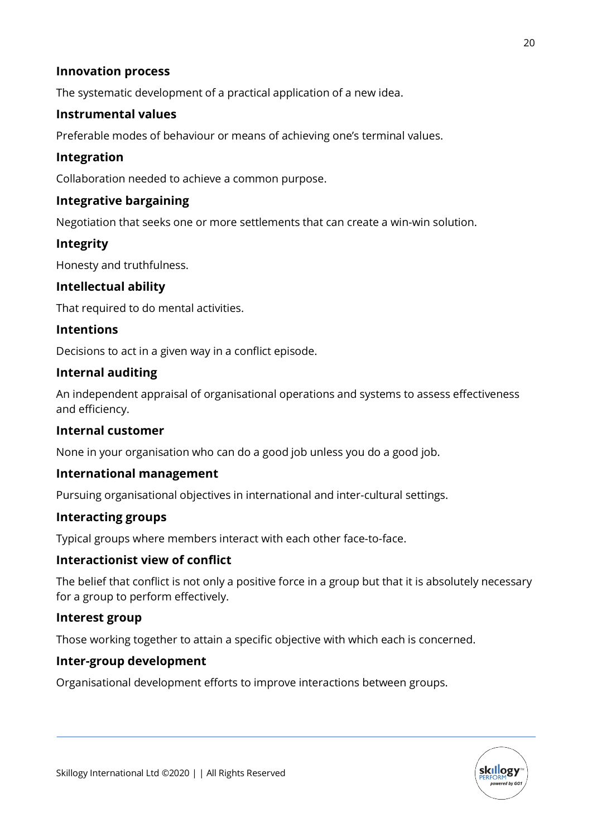### **Innovation process**

The systematic development of a practical application of a new idea.

### **Instrumental values**

Preferable modes of behaviour or means of achieving one's terminal values.

### **Integration**

Collaboration needed to achieve a common purpose.

### **Integrative bargaining**

Negotiation that seeks one or more settlements that can create a win-win solution.

### **Integrity**

Honesty and truthfulness.

### **Intellectual ability**

That required to do mental activities.

### **Intentions**

Decisions to act in a given way in a conflict episode.

### **Internal auditing**

An independent appraisal of organisational operations and systems to assess effectiveness and efficiency.

### **Internal customer**

None in your organisation who can do a good job unless you do a good job.

### **International management**

Pursuing organisational objectives in international and inter-cultural settings.

### **Interacting groups**

Typical groups where members interact with each other face-to-face.

### **Interactionist view of conflict**

The belief that conflict is not only a positive force in a group but that it is absolutely necessary for a group to perform effectively.

### **Interest group**

Those working together to attain a specific objective with which each is concerned.

### **Inter-group development**

Organisational development efforts to improve interactions between groups.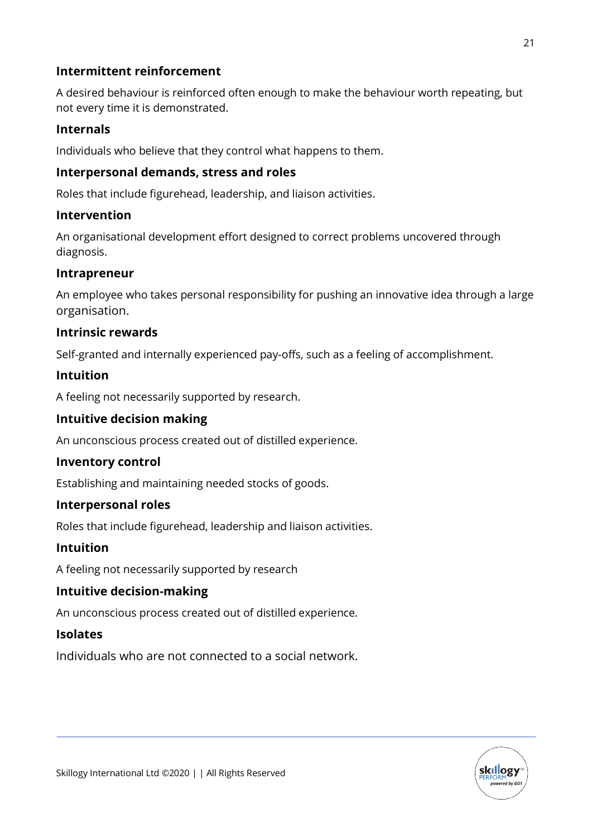### **Intermittent reinforcement**

A desired behaviour is reinforced often enough to make the behaviour worth repeating, but not every time it is demonstrated.

# **Internals**

Individuals who believe that they control what happens to them.

### **Interpersonal demands, stress and roles**

Roles that include figurehead, leadership, and liaison activities.

### **Intervention**

An organisational development effort designed to correct problems uncovered through diagnosis.

### **Intrapreneur**

An employee who takes personal responsibility for pushing an innovative idea through a large organisation.

### **Intrinsic rewards**

Self-granted and internally experienced pay-offs, such as a feeling of accomplishment.

# **Intuition**

A feeling not necessarily supported by research.

### **Intuitive decision making**

An unconscious process created out of distilled experience.

### **Inventory control**

Establishing and maintaining needed stocks of goods.

### **Interpersonal roles**

Roles that include figurehead, leadership and liaison activities.

### **Intuition**

A feeling not necessarily supported by research

### **Intuitive decision-making**

An unconscious process created out of distilled experience.

### **Isolates**

Individuals who are not connected to a social network.

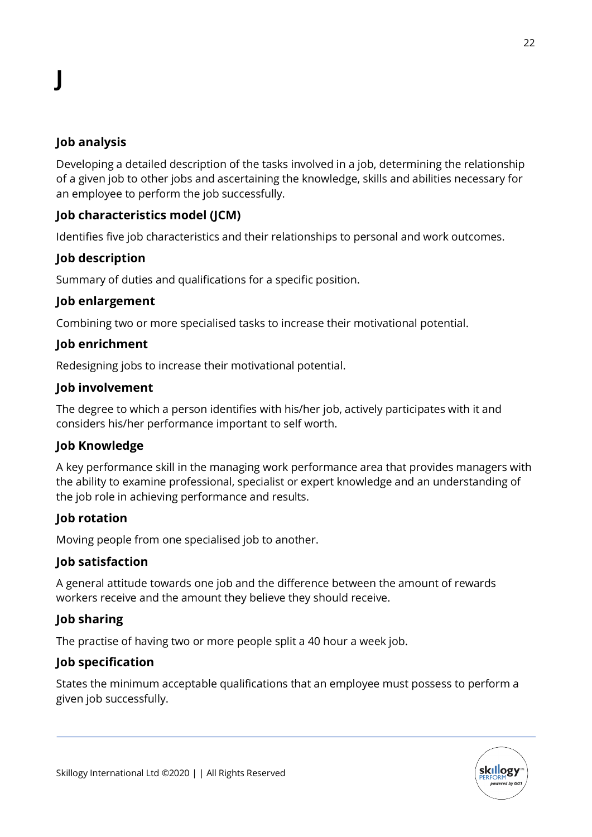# **Job analysis**

Developing a detailed description of the tasks involved in a job, determining the relationship of a given job to other jobs and ascertaining the knowledge, skills and abilities necessary for an employee to perform the job successfully.

# **Job characteristics model (JCM)**

Identifies five job characteristics and their relationships to personal and work outcomes.

# **Job description**

Summary of duties and qualifications for a specific position.

### **Job enlargement**

Combining two or more specialised tasks to increase their motivational potential.

### **Job enrichment**

Redesigning jobs to increase their motivational potential.

### **Job involvement**

The degree to which a person identifies with his/her job, actively participates with it and considers his/her performance important to self worth.

### **Job Knowledge**

A key performance skill in the managing work performance area that provides managers with the ability to examine professional, specialist or expert knowledge and an understanding of the job role in achieving performance and results.

# **Job rotation**

Moving people from one specialised job to another.

### **Job satisfaction**

A general attitude towards one job and the difference between the amount of rewards workers receive and the amount they believe they should receive.

# **Job sharing**

The practise of having two or more people split a 40 hour a week job.

# **Job specification**

States the minimum acceptable qualifications that an employee must possess to perform a given job successfully.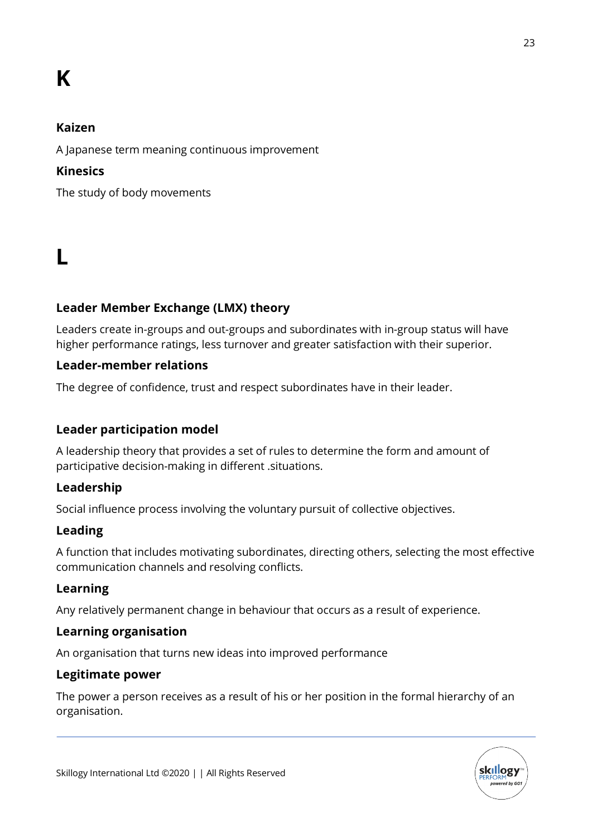# **K**

### **Kaizen**

A Japanese term meaning continuous improvement

# **Kinesics**

The study of body movements

# **L**

# **Leader Member Exchange (LMX) theory**

Leaders create in-groups and out-groups and subordinates with in-group status will have higher performance ratings, less turnover and greater satisfaction with their superior.

### **Leader-member relations**

The degree of confidence, trust and respect subordinates have in their leader.

# **Leader participation model**

A leadership theory that provides a set of rules to determine the form and amount of participative decision-making in different .situations.

### **Leadership**

Social influence process involving the voluntary pursuit of collective objectives.

# **Leading**

A function that includes motivating subordinates, directing others, selecting the most effective communication channels and resolving conflicts.

### **Learning**

Any relatively permanent change in behaviour that occurs as a result of experience.

### **Learning organisation**

An organisation that turns new ideas into improved performance

### **Legitimate power**

The power a person receives as a result of his or her position in the formal hierarchy of an organisation.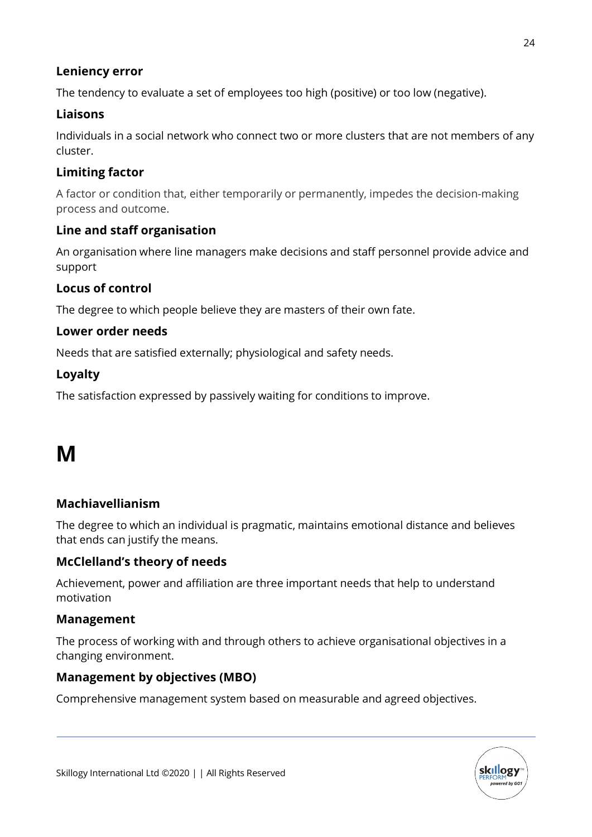# **Leniency error**

The tendency to evaluate a set of employees too high (positive) or too low (negative).

# **Liaisons**

Individuals in a social network who connect two or more clusters that are not members of any cluster.

### **Limiting factor**

A factor or condition that, either temporarily or permanently, impedes the decision-making process and outcome.

### **Line and staff organisation**

An organisation where line managers make decisions and staff personnel provide advice and support

### **Locus of control**

The degree to which people believe they are masters of their own fate.

### **Lower order needs**

Needs that are satisfied externally; physiological and safety needs.

### **Loyalty**

The satisfaction expressed by passively waiting for conditions to improve.

# **M**

### **Machiavellianism**

The degree to which an individual is pragmatic, maintains emotional distance and believes that ends can justify the means.

### **McClelland's theory of needs**

Achievement, power and affiliation are three important needs that help to understand motivation

### **Management**

The process of working with and through others to achieve organisational objectives in a changing environment.

### **Management by objectives (MBO)**

Comprehensive management system based on measurable and agreed objectives.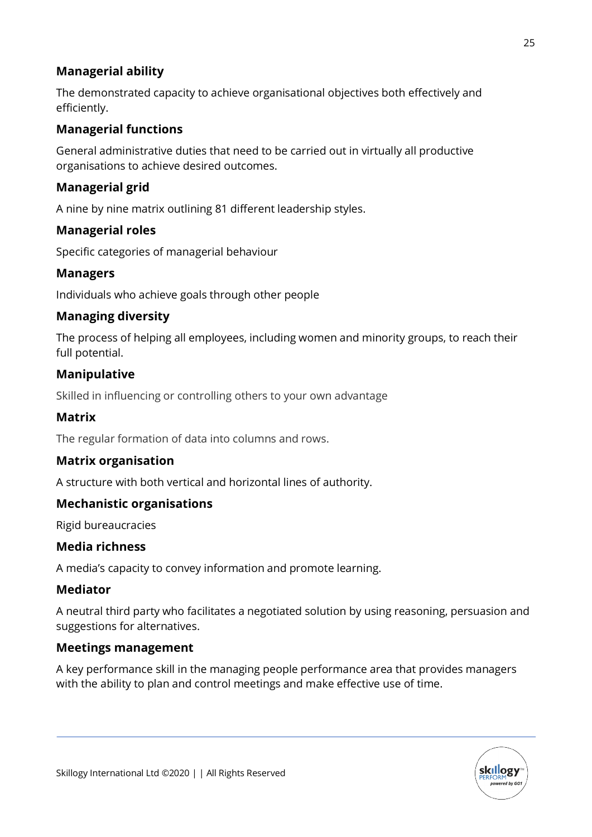# **Managerial ability**

The demonstrated capacity to achieve organisational objectives both effectively and efficiently.

# **Managerial functions**

General administrative duties that need to be carried out in virtually all productive organisations to achieve desired outcomes.

# **Managerial grid**

A nine by nine matrix outlining 81 different leadership styles.

# **Managerial roles**

Specific categories of managerial behaviour

# **Managers**

Individuals who achieve goals through other people

### **Managing diversity**

The process of helping all employees, including women and minority groups, to reach their full potential.

# **Manipulative**

Skilled in influencing or controlling others to your own advantage

### **Matrix**

The regular formation of data into columns and rows.

### **Matrix organisation**

A structure with both vertical and horizontal lines of authority.

# **Mechanistic organisations**

Rigid bureaucracies

### **Media richness**

A media's capacity to convey information and promote learning.

### **Mediator**

A neutral third party who facilitates a negotiated solution by using reasoning, persuasion and suggestions for alternatives.

### **Meetings management**

A key performance skill in the managing people performance area that provides managers with the ability to plan and control meetings and make effective use of time.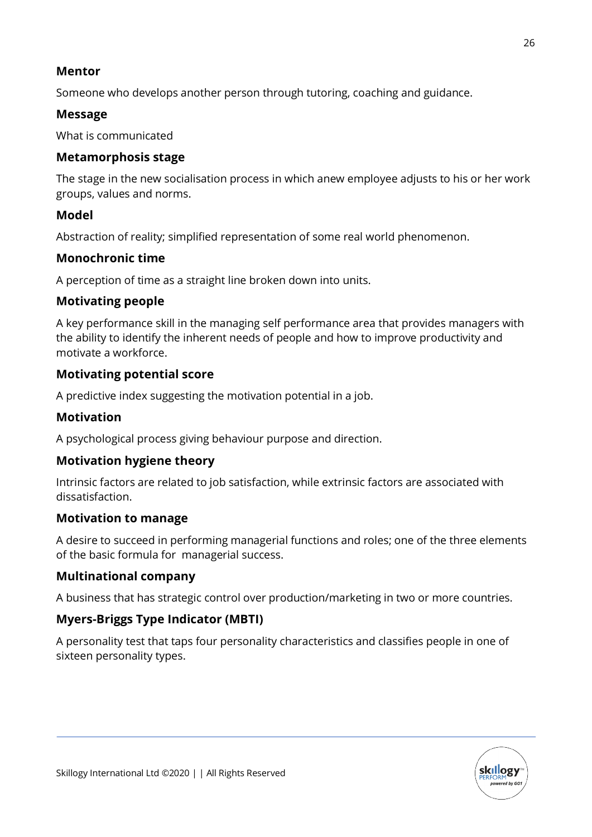### **Mentor**

Someone who develops another person through tutoring, coaching and guidance.

# **Message**

What is communicated

### **Metamorphosis stage**

The stage in the new socialisation process in which anew employee adjusts to his or her work groups, values and norms.

# **Model**

Abstraction of reality; simplified representation of some real world phenomenon.

# **Monochronic time**

A perception of time as a straight line broken down into units.

# **Motivating people**

A key performance skill in the managing self performance area that provides managers with the ability to identify the inherent needs of people and how to improve productivity and motivate a workforce.

# **Motivating potential score**

A predictive index suggesting the motivation potential in a job.

# **Motivation**

A psychological process giving behaviour purpose and direction.

# **Motivation hygiene theory**

Intrinsic factors are related to job satisfaction, while extrinsic factors are associated with dissatisfaction.

### **Motivation to manage**

A desire to succeed in performing managerial functions and roles; one of the three elements of the basic formula for managerial success.

# **Multinational company**

A business that has strategic control over production/marketing in two or more countries.

# **Myers-Briggs Type Indicator (MBTI)**

A personality test that taps four personality characteristics and classifies people in one of sixteen personality types.

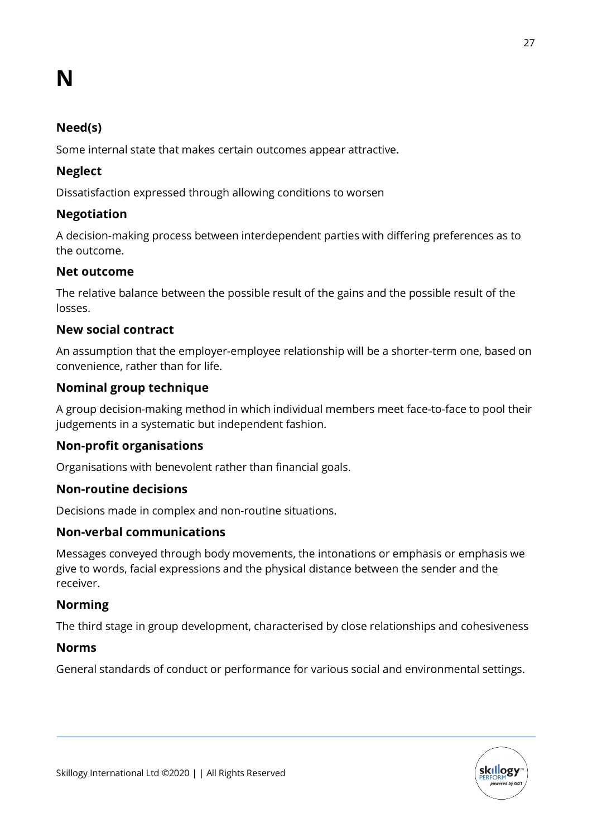# **N**

# **Need(s)**

Some internal state that makes certain outcomes appear attractive.

# **Neglect**

Dissatisfaction expressed through allowing conditions to worsen

### **Negotiation**

A decision-making process between interdependent parties with differing preferences as to the outcome.

### **Net outcome**

The relative balance between the possible result of the gains and the possible result of the losses.

### **New social contract**

An assumption that the employer-employee relationship will be a shorter-term one, based on convenience, rather than for life.

# **Nominal group technique**

A group decision-making method in which individual members meet face-to-face to pool their judgements in a systematic but independent fashion.

# **Non-profit organisations**

Organisations with benevolent rather than financial goals.

### **Non-routine decisions**

Decisions made in complex and non-routine situations.

# **Non-verbal communications**

Messages conveyed through body movements, the intonations or emphasis or emphasis we give to words, facial expressions and the physical distance between the sender and the receiver.

### **Norming**

The third stage in group development, characterised by close relationships and cohesiveness

### **Norms**

General standards of conduct or performance for various social and environmental settings.

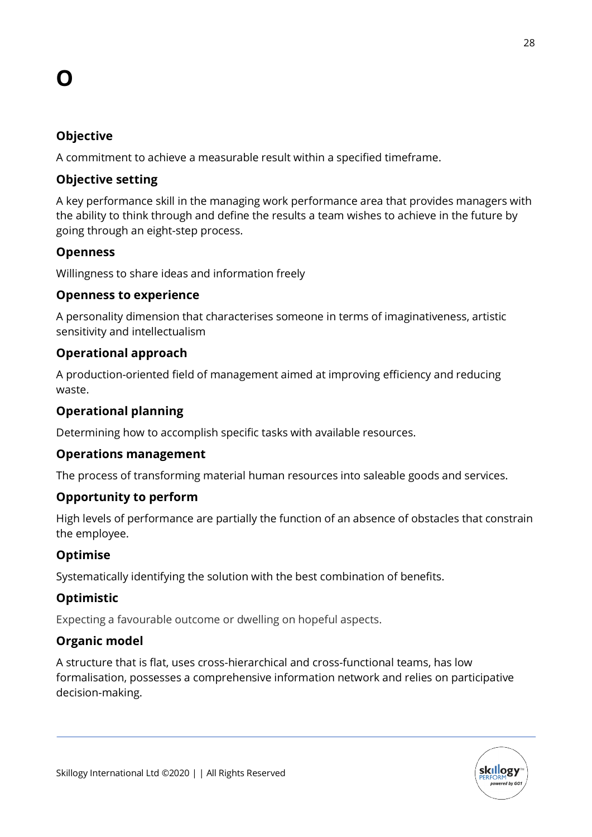# **O**

# **Objective**

A commitment to achieve a measurable result within a specified timeframe.

# **Objective setting**

A key performance skill in the managing work performance area that provides managers with the ability to think through and define the results a team wishes to achieve in the future by going through an eight-step process.

# **Openness**

Willingness to share ideas and information freely

### **Openness to experience**

A personality dimension that characterises someone in terms of imaginativeness, artistic sensitivity and intellectualism

# **Operational approach**

A production-oriented field of management aimed at improving efficiency and reducing waste.

# **Operational planning**

Determining how to accomplish specific tasks with available resources.

### **Operations management**

The process of transforming material human resources into saleable goods and services.

### **Opportunity to perform**

High levels of performance are partially the function of an absence of obstacles that constrain the employee.

# **Optimise**

Systematically identifying the solution with the best combination of benefits.

# **Optimistic**

Expecting a favourable outcome or dwelling on hopeful aspects.

# **Organic model**

A structure that is flat, uses cross-hierarchical and cross-functional teams, has low formalisation, possesses a comprehensive information network and relies on participative decision-making.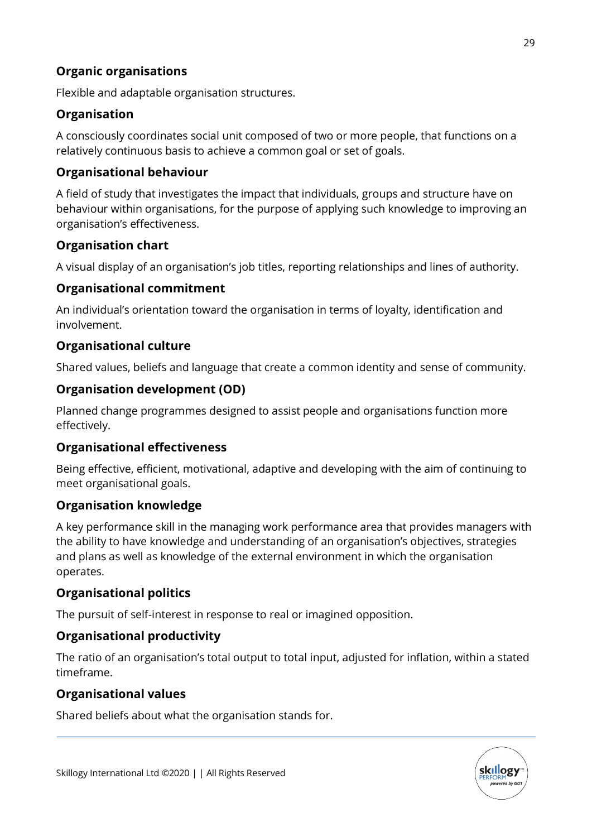# **Organic organisations**

Flexible and adaptable organisation structures.

# **Organisation**

A consciously coordinates social unit composed of two or more people, that functions on a relatively continuous basis to achieve a common goal or set of goals.

# **Organisational behaviour**

A field of study that investigates the impact that individuals, groups and structure have on behaviour within organisations, for the purpose of applying such knowledge to improving an organisation's effectiveness.

### **Organisation chart**

A visual display of an organisation's job titles, reporting relationships and lines of authority.

### **Organisational commitment**

An individual's orientation toward the organisation in terms of loyalty, identification and involvement.

### **Organisational culture**

Shared values, beliefs and language that create a common identity and sense of community.

### **Organisation development (OD)**

Planned change programmes designed to assist people and organisations function more effectively.

# **Organisational effectiveness**

Being effective, efficient, motivational, adaptive and developing with the aim of continuing to meet organisational goals.

# **Organisation knowledge**

A key performance skill in the managing work performance area that provides managers with the ability to have knowledge and understanding of an organisation's objectives, strategies and plans as well as knowledge of the external environment in which the organisation operates.

# **Organisational politics**

The pursuit of self-interest in response to real or imagined opposition.

# **Organisational productivity**

The ratio of an organisation's total output to total input, adjusted for inflation, within a stated timeframe.

### **Organisational values**

Shared beliefs about what the organisation stands for.

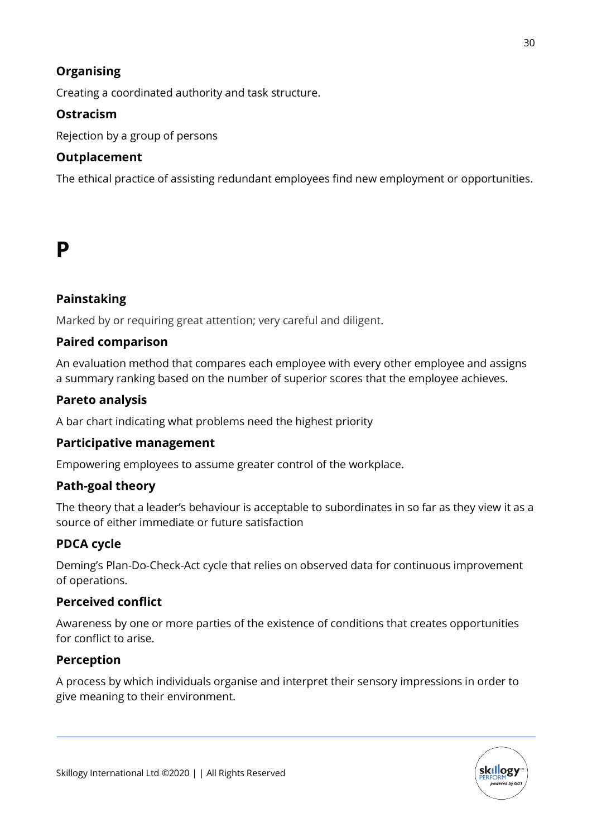# **Organising**

Creating a coordinated authority and task structure.

# **Ostracism**

Rejection by a group of persons

# **Outplacement**

The ethical practice of assisting redundant employees find new employment or opportunities.

# **P**

# **Painstaking**

Marked by or requiring great attention; very careful and diligent.

# **Paired comparison**

An evaluation method that compares each employee with every other employee and assigns a summary ranking based on the number of superior scores that the employee achieves.

# **Pareto analysis**

A bar chart indicating what problems need the highest priority

# **Participative management**

Empowering employees to assume greater control of the workplace.

# **Path-goal theory**

The theory that a leader's behaviour is acceptable to subordinates in so far as they view it as a source of either immediate or future satisfaction

# **PDCA cycle**

Deming's Plan-Do-Check-Act cycle that relies on observed data for continuous improvement of operations.

# **Perceived conflict**

Awareness by one or more parties of the existence of conditions that creates opportunities for conflict to arise.

# **Perception**

A process by which individuals organise and interpret their sensory impressions in order to give meaning to their environment.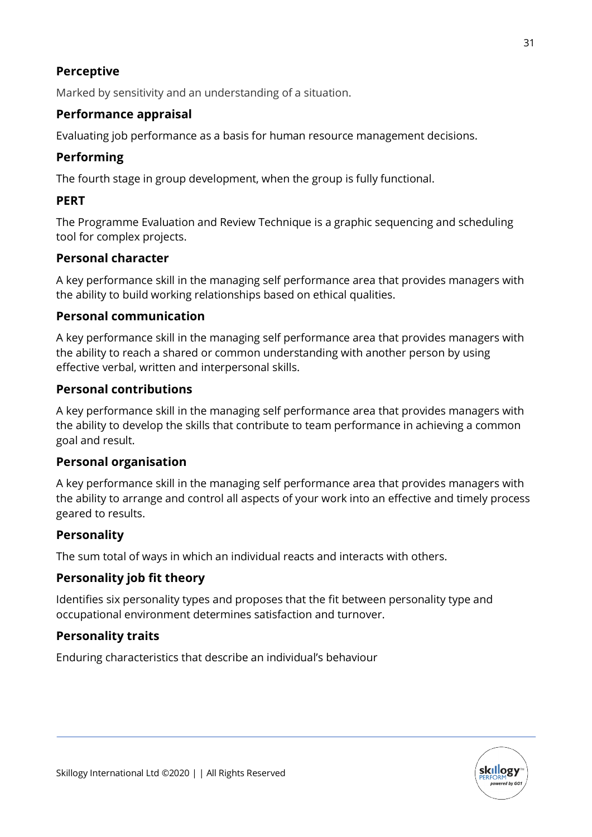# **Perceptive**

Marked by sensitivity and an understanding of a situation.

# **Performance appraisal**

Evaluating job performance as a basis for human resource management decisions.

### **Performing**

The fourth stage in group development, when the group is fully functional.

### **PERT**

The Programme Evaluation and Review Technique is a graphic sequencing and scheduling tool for complex projects.

### **Personal character**

A key performance skill in the managing self performance area that provides managers with the ability to build working relationships based on ethical qualities.

### **Personal communication**

A key performance skill in the managing self performance area that provides managers with the ability to reach a shared or common understanding with another person by using effective verbal, written and interpersonal skills.

### **Personal contributions**

A key performance skill in the managing self performance area that provides managers with the ability to develop the skills that contribute to team performance in achieving a common goal and result.

### **Personal organisation**

A key performance skill in the managing self performance area that provides managers with the ability to arrange and control all aspects of your work into an effective and timely process geared to results.

### **Personality**

The sum total of ways in which an individual reacts and interacts with others.

# **Personality job fit theory**

Identifies six personality types and proposes that the fit between personality type and occupational environment determines satisfaction and turnover.

### **Personality traits**

Enduring characteristics that describe an individual's behaviour

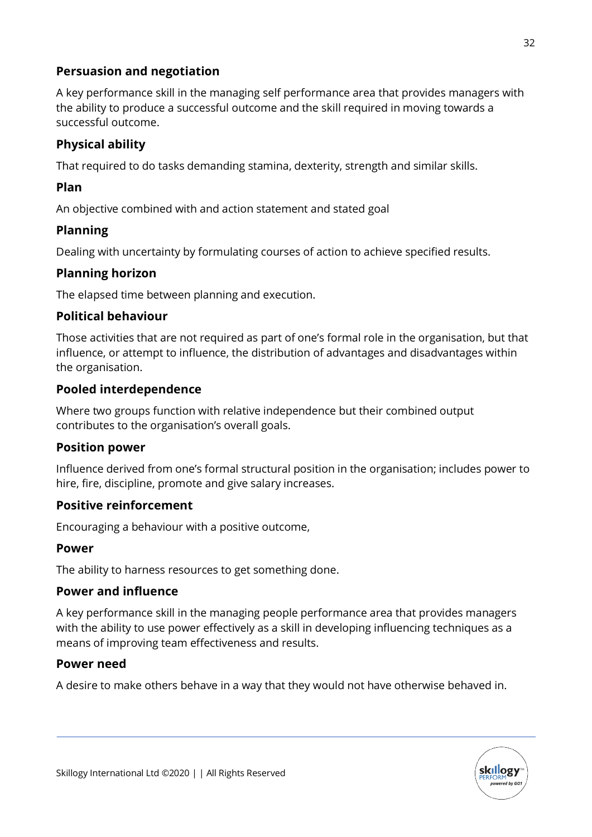# **Persuasion and negotiation**

A key performance skill in the managing self performance area that provides managers with the ability to produce a successful outcome and the skill required in moving towards a successful outcome.

# **Physical ability**

That required to do tasks demanding stamina, dexterity, strength and similar skills.

# **Plan**

An objective combined with and action statement and stated goal

### **Planning**

Dealing with uncertainty by formulating courses of action to achieve specified results.

### **Planning horizon**

The elapsed time between planning and execution.

### **Political behaviour**

Those activities that are not required as part of one's formal role in the organisation, but that influence, or attempt to influence, the distribution of advantages and disadvantages within the organisation.

### **Pooled interdependence**

Where two groups function with relative independence but their combined output contributes to the organisation's overall goals.

### **Position power**

Influence derived from one's formal structural position in the organisation; includes power to hire, fire, discipline, promote and give salary increases.

# **Positive reinforcement**

Encouraging a behaviour with a positive outcome,

### **Power**

The ability to harness resources to get something done.

### **Power and influence**

A key performance skill in the managing people performance area that provides managers with the ability to use power effectively as a skill in developing influencing techniques as a means of improving team effectiveness and results.

### **Power need**

A desire to make others behave in a way that they would not have otherwise behaved in.

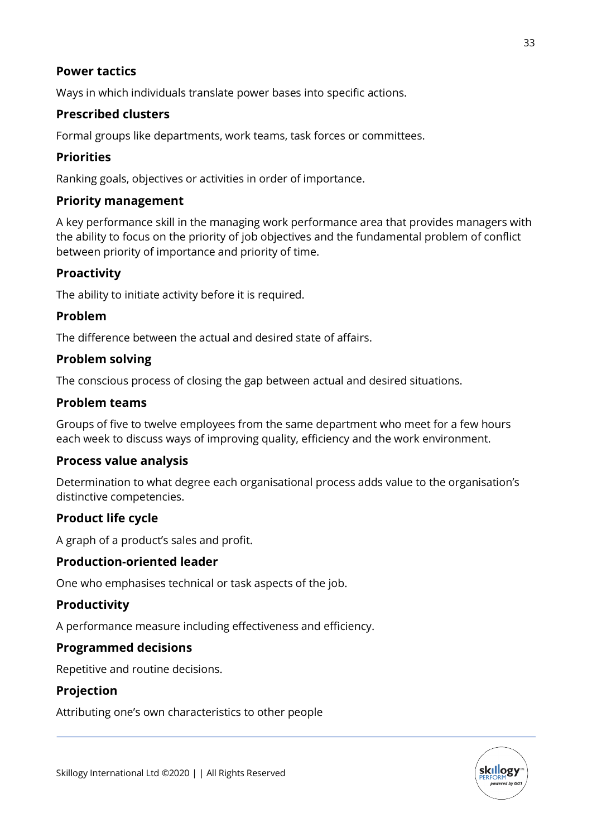### **Power tactics**

Ways in which individuals translate power bases into specific actions.

# **Prescribed clusters**

Formal groups like departments, work teams, task forces or committees.

### **Priorities**

Ranking goals, objectives or activities in order of importance.

### **Priority management**

A key performance skill in the managing work performance area that provides managers with the ability to focus on the priority of job objectives and the fundamental problem of conflict between priority of importance and priority of time.

### **Proactivity**

The ability to initiate activity before it is required.

### **Problem**

The difference between the actual and desired state of affairs.

### **Problem solving**

The conscious process of closing the gap between actual and desired situations.

### **Problem teams**

Groups of five to twelve employees from the same department who meet for a few hours each week to discuss ways of improving quality, efficiency and the work environment.

### **Process value analysis**

Determination to what degree each organisational process adds value to the organisation's distinctive competencies.

### **Product life cycle**

A graph of a product's sales and profit.

### **Production-oriented leader**

One who emphasises technical or task aspects of the job.

# **Productivity**

A performance measure including effectiveness and efficiency.

### **Programmed decisions**

Repetitive and routine decisions.

### **Projection**

Attributing one's own characteristics to other people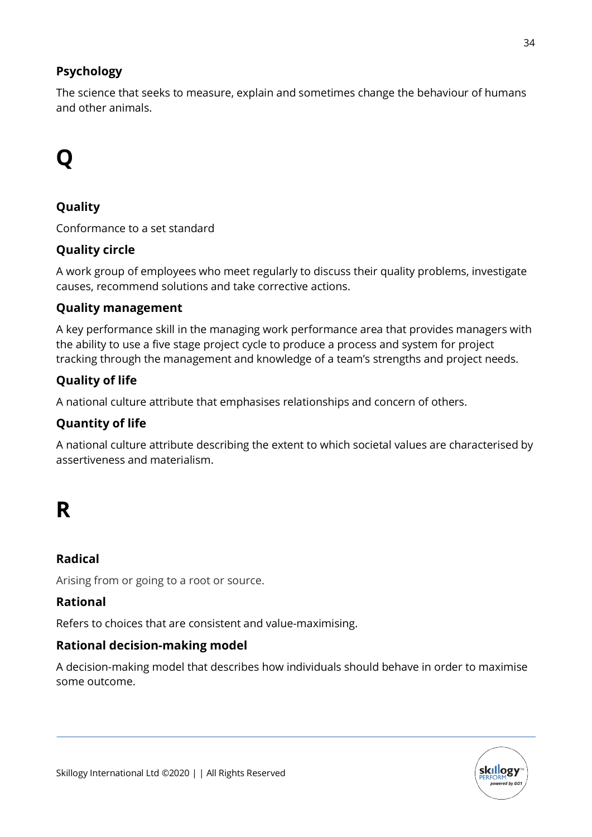# **Psychology**

The science that seeks to measure, explain and sometimes change the behaviour of humans and other animals.

# **Q**

# **Quality**

Conformance to a set standard

# **Quality circle**

A work group of employees who meet regularly to discuss their quality problems, investigate causes, recommend solutions and take corrective actions.

# **Quality management**

A key performance skill in the managing work performance area that provides managers with the ability to use a five stage project cycle to produce a process and system for project tracking through the management and knowledge of a team's strengths and project needs.

# **Quality of life**

A national culture attribute that emphasises relationships and concern of others.

# **Quantity of life**

A national culture attribute describing the extent to which societal values are characterised by assertiveness and materialism.

# **R**

# **Radical**

Arising from or going to a root or source.

# **Rational**

Refers to choices that are consistent and value-maximising.

# **Rational decision-making model**

A decision-making model that describes how individuals should behave in order to maximise some outcome.

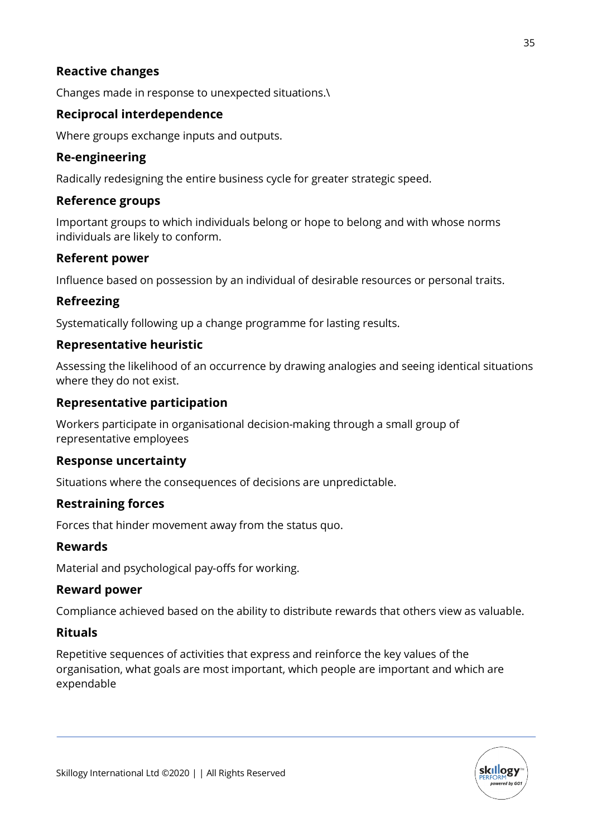### **Reactive changes**

Changes made in response to unexpected situations.\

### **Reciprocal interdependence**

Where groups exchange inputs and outputs.

### **Re-engineering**

Radically redesigning the entire business cycle for greater strategic speed.

### **Reference groups**

Important groups to which individuals belong or hope to belong and with whose norms individuals are likely to conform.

### **Referent power**

Influence based on possession by an individual of desirable resources or personal traits.

### **Refreezing**

Systematically following up a change programme for lasting results.

### **Representative heuristic**

Assessing the likelihood of an occurrence by drawing analogies and seeing identical situations where they do not exist.

### **Representative participation**

Workers participate in organisational decision-making through a small group of representative employees

### **Response uncertainty**

Situations where the consequences of decisions are unpredictable.

### **Restraining forces**

Forces that hinder movement away from the status quo.

### **Rewards**

Material and psychological pay-offs for working.

### **Reward power**

Compliance achieved based on the ability to distribute rewards that others view as valuable.

### **Rituals**

Repetitive sequences of activities that express and reinforce the key values of the organisation, what goals are most important, which people are important and which are expendable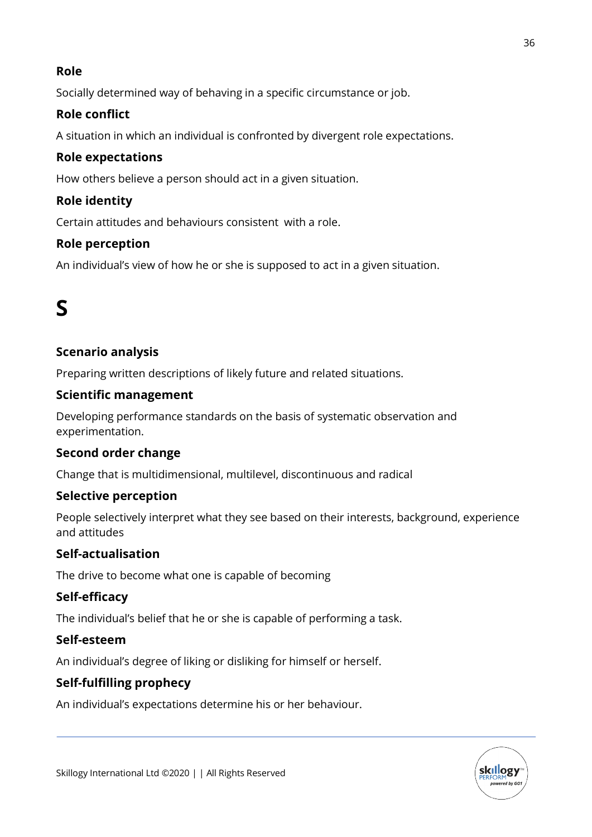# **Role**

Socially determined way of behaving in a specific circumstance or job.

# **Role conflict**

A situation in which an individual is confronted by divergent role expectations.

# **Role expectations**

How others believe a person should act in a given situation.

# **Role identity**

Certain attitudes and behaviours consistent with a role.

# **Role perception**

An individual's view of how he or she is supposed to act in a given situation.

# **S**

# **Scenario analysis**

Preparing written descriptions of likely future and related situations.

# **Scientific management**

Developing performance standards on the basis of systematic observation and experimentation.

# **Second order change**

Change that is multidimensional, multilevel, discontinuous and radical

# **Selective perception**

People selectively interpret what they see based on their interests, background, experience and attitudes

# **Self-actualisation**

The drive to become what one is capable of becoming

# **Self-efficacy**

The individual's belief that he or she is capable of performing a task.

# **Self-esteem**

An individual's degree of liking or disliking for himself or herself.

# **Self-fulfilling prophecy**

An individual's expectations determine his or her behaviour.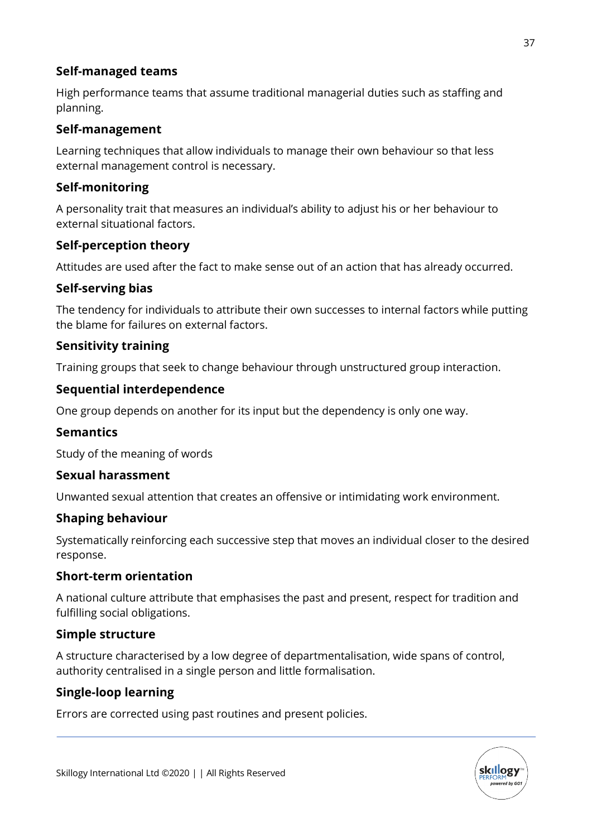# **Self-managed teams**

High performance teams that assume traditional managerial duties such as staffing and planning.

### **Self-management**

Learning techniques that allow individuals to manage their own behaviour so that less external management control is necessary.

### **Self-monitoring**

A personality trait that measures an individual's ability to adjust his or her behaviour to external situational factors.

### **Self-perception theory**

Attitudes are used after the fact to make sense out of an action that has already occurred.

### **Self-serving bias**

The tendency for individuals to attribute their own successes to internal factors while putting the blame for failures on external factors.

### **Sensitivity training**

Training groups that seek to change behaviour through unstructured group interaction.

### **Sequential interdependence**

One group depends on another for its input but the dependency is only one way.

### **Semantics**

Study of the meaning of words

### **Sexual harassment**

Unwanted sexual attention that creates an offensive or intimidating work environment.

### **Shaping behaviour**

Systematically reinforcing each successive step that moves an individual closer to the desired response.

### **Short-term orientation**

A national culture attribute that emphasises the past and present, respect for tradition and fulfilling social obligations.

# **Simple structure**

A structure characterised by a low degree of departmentalisation, wide spans of control, authority centralised in a single person and little formalisation.

# **Single-loop learning**

Errors are corrected using past routines and present policies.

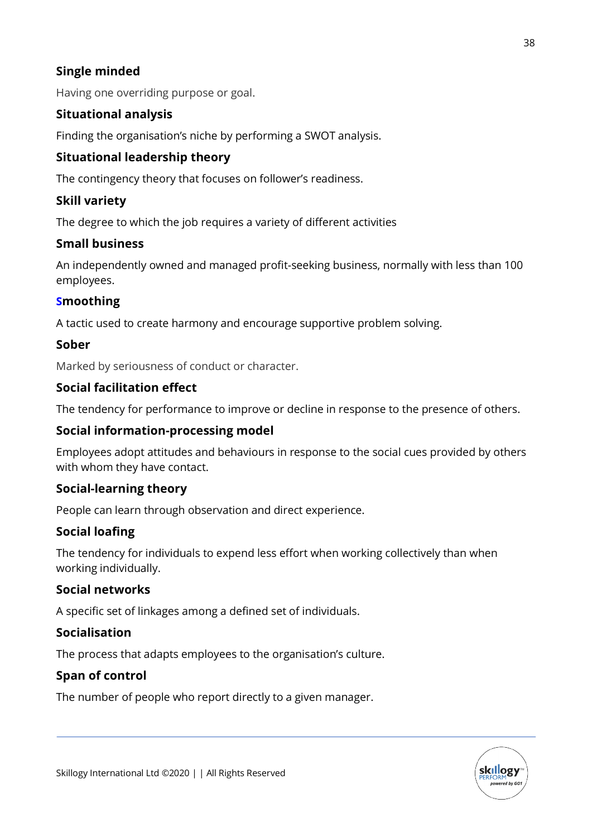# **Single minded**

Having one overriding purpose or goal.

# **Situational analysis**

Finding the organisation's niche by performing a SWOT analysis.

# **Situational leadership theory**

The contingency theory that focuses on follower's readiness.

# **Skill variety**

The degree to which the job requires a variety of different activities

### **Small business**

An independently owned and managed profit-seeking business, normally with less than 100 employees.

### **Smoothing**

A tactic used to create harmony and encourage supportive problem solving.

### **Sober**

Marked by seriousness of conduct or character.

### **Social facilitation effect**

The tendency for performance to improve or decline in response to the presence of others.

### **Social information-processing model**

Employees adopt attitudes and behaviours in response to the social cues provided by others with whom they have contact.

### **Social-learning theory**

People can learn through observation and direct experience.

# **Social loafing**

The tendency for individuals to expend less effort when working collectively than when working individually.

### **Social networks**

A specific set of linkages among a defined set of individuals.

### **Socialisation**

The process that adapts employees to the organisation's culture.

# **Span of control**

The number of people who report directly to a given manager.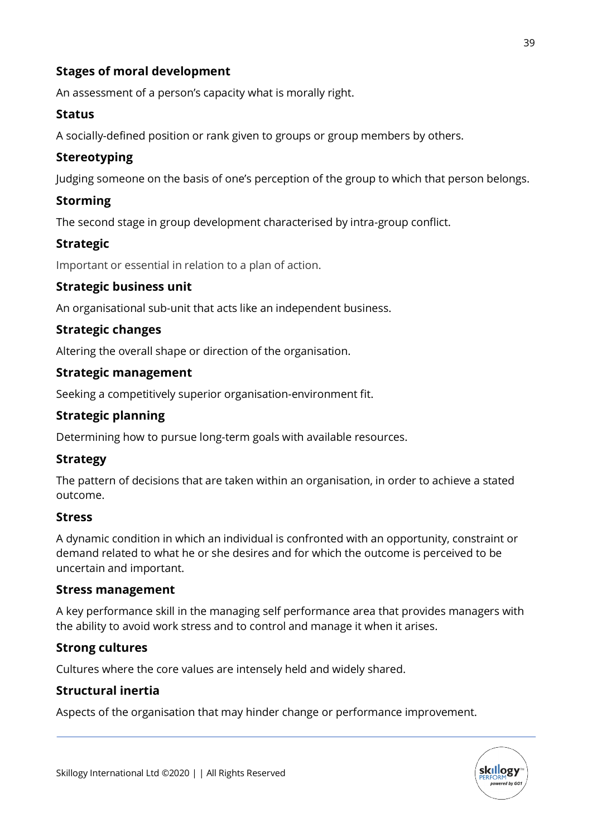# **Stages of moral development**

An assessment of a person's capacity what is morally right.

### **Status**

A socially-defined position or rank given to groups or group members by others.

### **Stereotyping**

Judging someone on the basis of one's perception of the group to which that person belongs.

# **Storming**

The second stage in group development characterised by intra-group conflict.

### **Strategic**

Important or essential in relation to a plan of action.

### **Strategic business unit**

An organisational sub-unit that acts like an independent business.

### **Strategic changes**

Altering the overall shape or direction of the organisation.

### **Strategic management**

Seeking a competitively superior organisation-environment fit.

### **Strategic planning**

Determining how to pursue long-term goals with available resources.

### **Strategy**

The pattern of decisions that are taken within an organisation, in order to achieve a stated outcome.

### **Stress**

A dynamic condition in which an individual is confronted with an opportunity, constraint or demand related to what he or she desires and for which the outcome is perceived to be uncertain and important.

### **Stress management**

A key performance skill in the managing self performance area that provides managers with the ability to avoid work stress and to control and manage it when it arises.

### **Strong cultures**

Cultures where the core values are intensely held and widely shared.

### **Structural inertia**

Aspects of the organisation that may hinder change or performance improvement.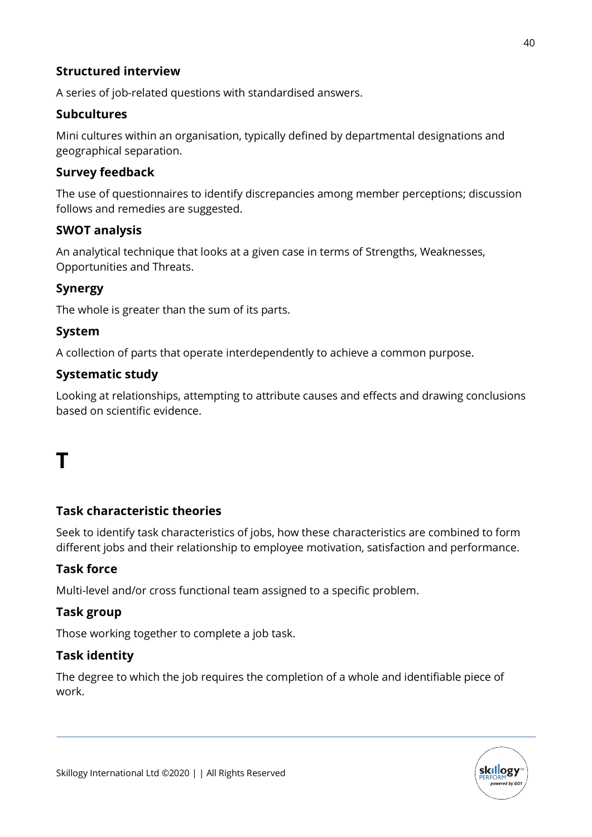# **Structured interview**

A series of job-related questions with standardised answers.

# **Subcultures**

Mini cultures within an organisation, typically defined by departmental designations and geographical separation.

### **Survey feedback**

The use of questionnaires to identify discrepancies among member perceptions; discussion follows and remedies are suggested.

### **SWOT analysis**

An analytical technique that looks at a given case in terms of Strengths, Weaknesses, Opportunities and Threats.

### **Synergy**

The whole is greater than the sum of its parts.

### **System**

A collection of parts that operate interdependently to achieve a common purpose.

### **Systematic study**

Looking at relationships, attempting to attribute causes and effects and drawing conclusions based on scientific evidence.

# **T**

### **Task characteristic theories**

Seek to identify task characteristics of jobs, how these characteristics are combined to form different jobs and their relationship to employee motivation, satisfaction and performance.

### **Task force**

Multi-level and/or cross functional team assigned to a specific problem.

### **Task group**

Those working together to complete a job task.

### **Task identity**

The degree to which the job requires the completion of a whole and identifiable piece of work.

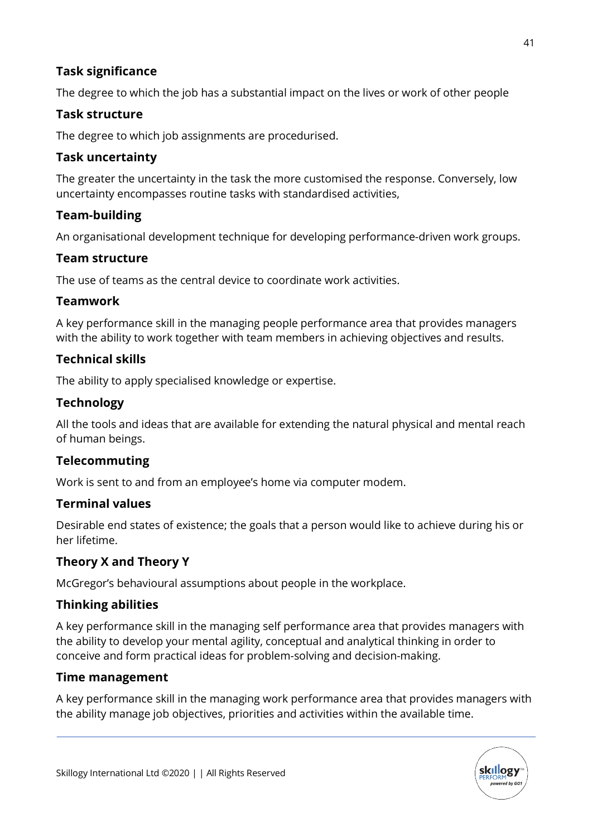# **Task significance**

The degree to which the job has a substantial impact on the lives or work of other people

### **Task structure**

The degree to which job assignments are procedurised.

### **Task uncertainty**

The greater the uncertainty in the task the more customised the response. Conversely, low uncertainty encompasses routine tasks with standardised activities,

### **Team-building**

An organisational development technique for developing performance-driven work groups.

### **Team structure**

The use of teams as the central device to coordinate work activities.

### **Teamwork**

A key performance skill in the managing people performance area that provides managers with the ability to work together with team members in achieving objectives and results.

### **Technical skills**

The ability to apply specialised knowledge or expertise.

### **Technology**

All the tools and ideas that are available for extending the natural physical and mental reach of human beings.

# **Telecommuting**

Work is sent to and from an employee's home via computer modem.

### **Terminal values**

Desirable end states of existence; the goals that a person would like to achieve during his or her lifetime.

# **Theory X and Theory Y**

McGregor's behavioural assumptions about people in the workplace.

### **Thinking abilities**

A key performance skill in the managing self performance area that provides managers with the ability to develop your mental agility, conceptual and analytical thinking in order to conceive and form practical ideas for problem-solving and decision-making.

### **Time management**

A key performance skill in the managing work performance area that provides managers with the ability manage job objectives, priorities and activities within the available time.

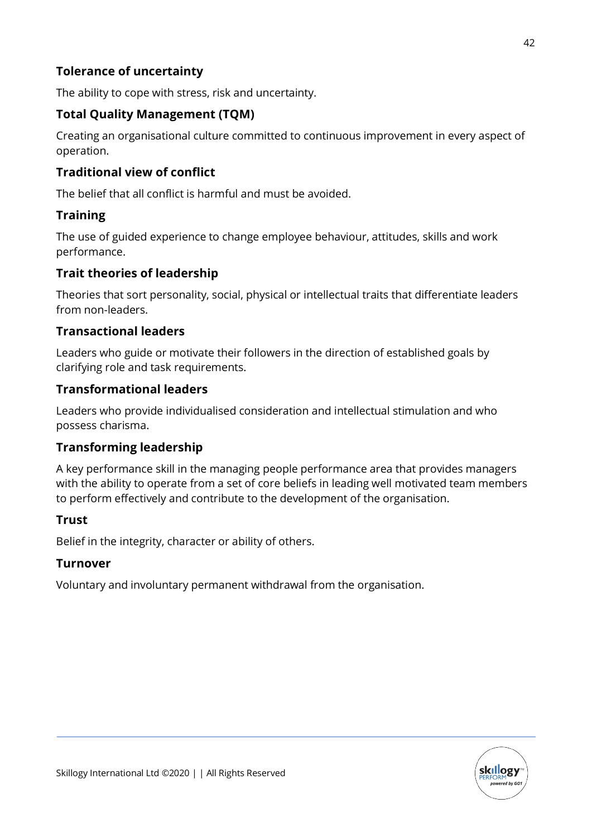# **Tolerance of uncertainty**

The ability to cope with stress, risk and uncertainty.

# **Total Quality Management (TQM)**

Creating an organisational culture committed to continuous improvement in every aspect of operation.

# **Traditional view of conflict**

The belief that all conflict is harmful and must be avoided.

# **Training**

The use of guided experience to change employee behaviour, attitudes, skills and work performance.

# **Trait theories of leadership**

Theories that sort personality, social, physical or intellectual traits that differentiate leaders from non-leaders.

# **Transactional leaders**

Leaders who guide or motivate their followers in the direction of established goals by clarifying role and task requirements.

# **Transformational leaders**

Leaders who provide individualised consideration and intellectual stimulation and who possess charisma.

# **Transforming leadership**

A key performance skill in the managing people performance area that provides managers with the ability to operate from a set of core beliefs in leading well motivated team members to perform effectively and contribute to the development of the organisation.

# **Trust**

Belief in the integrity, character or ability of others.

# **Turnover**

Voluntary and involuntary permanent withdrawal from the organisation.

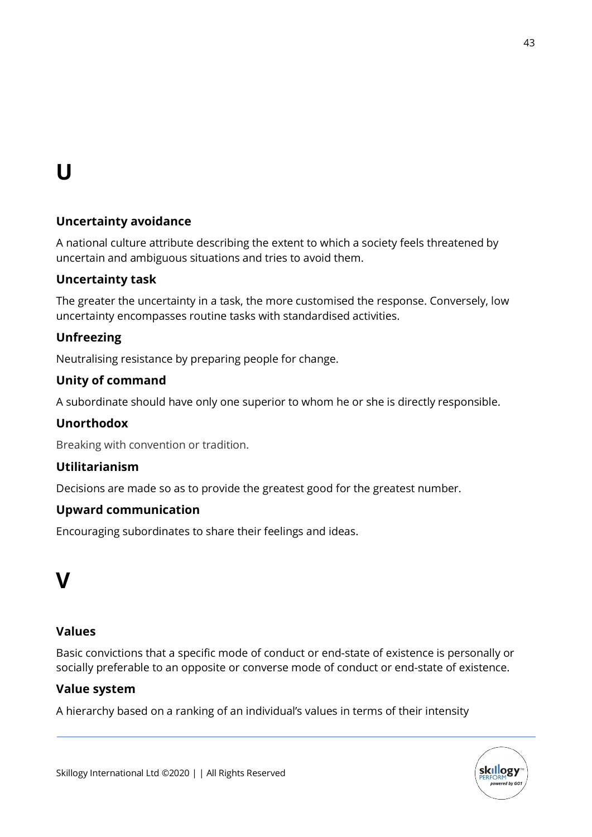# **U**

# **Uncertainty avoidance**

A national culture attribute describing the extent to which a society feels threatened by uncertain and ambiguous situations and tries to avoid them.

# **Uncertainty task**

The greater the uncertainty in a task, the more customised the response. Conversely, low uncertainty encompasses routine tasks with standardised activities.

# **Unfreezing**

Neutralising resistance by preparing people for change.

### **Unity of command**

A subordinate should have only one superior to whom he or she is directly responsible.

# **Unorthodox**

Breaking with convention or tradition.

### **Utilitarianism**

Decisions are made so as to provide the greatest good for the greatest number.

### **Upward communication**

Encouraging subordinates to share their feelings and ideas.

# **V**

### **Values**

Basic convictions that a specific mode of conduct or end-state of existence is personally or socially preferable to an opposite or converse mode of conduct or end-state of existence.

### **Value system**

A hierarchy based on a ranking of an individual's values in terms of their intensity